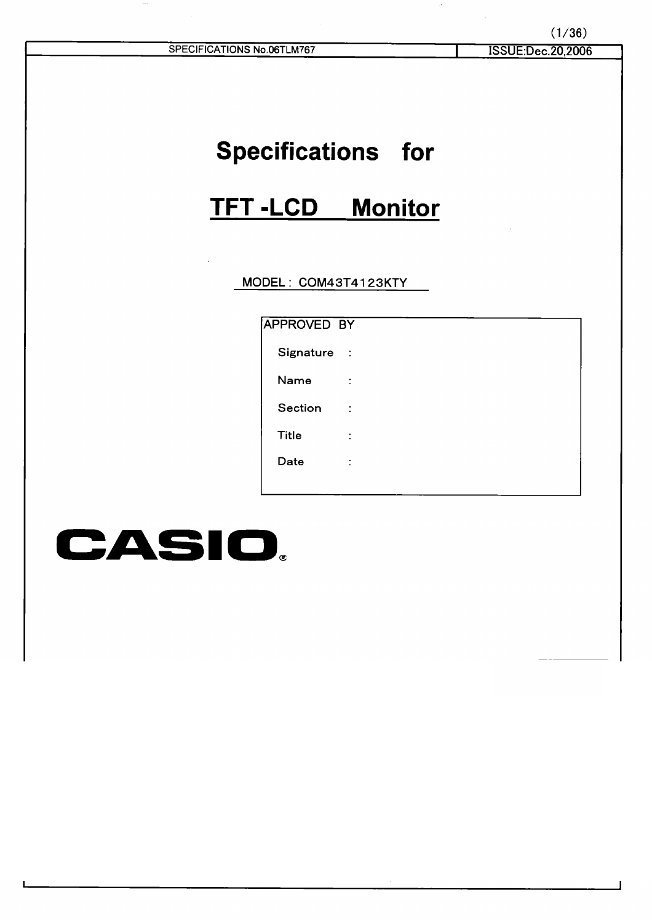| SPECIFICATIONS No.06TLM767 |  |  |
|----------------------------|--|--|
|                            |  |  |
|                            |  |  |
|                            |  |  |

## **Specifications for**

# TFT-LCD Monitor

MODEL: COM43T4123KTY

| APPROVED BY  |   |  |  |
|--------------|---|--|--|
| Signature :  |   |  |  |
| Name         | ÷ |  |  |
| Section      | ÷ |  |  |
| <b>Title</b> | t |  |  |
| Date         | ÷ |  |  |
|              |   |  |  |

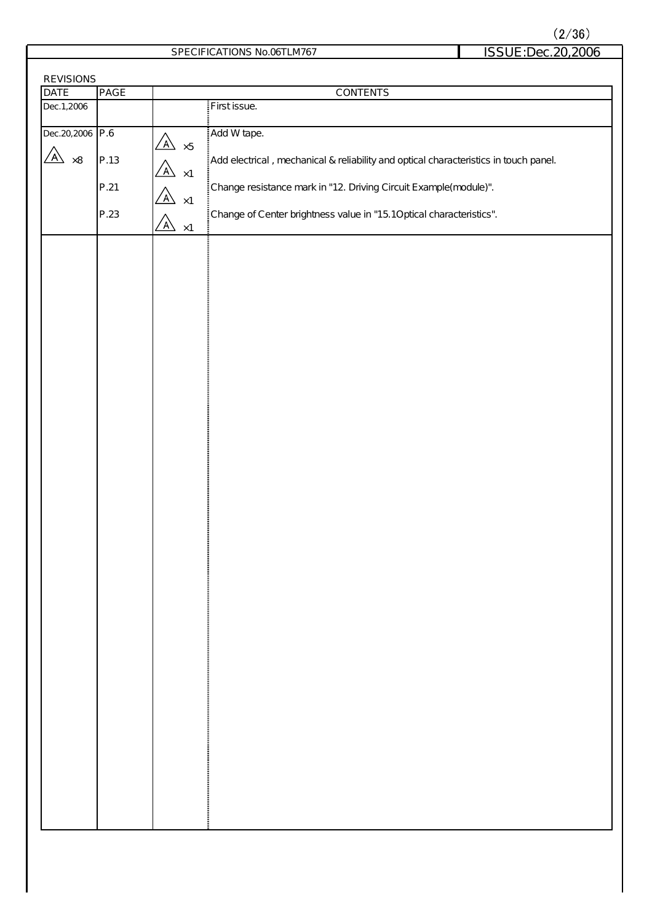$(2/36)$ 

SPECIFICATIONS No.06TLM767 ISSUE:Dec.20,2006

| REVISIONS         |                  |                                       |                                                                                      |  |
|-------------------|------------------|---------------------------------------|--------------------------------------------------------------------------------------|--|
| <b>DATE</b>       | PAGE<br>CONTENTS |                                       |                                                                                      |  |
| Dec.1,2006        |                  |                                       | First issue.                                                                         |  |
|                   |                  |                                       |                                                                                      |  |
| Dec. 20, 2006 P.6 |                  | $\mathbb{A}$                          | Add W tape.                                                                          |  |
| $\sqrt{A}$ ×8     |                  | $\times 5$                            |                                                                                      |  |
|                   | P.13             | $\overline{A}$ $\times 1$             | Add electrical, mechanical & reliability and optical characteristics in touch panel. |  |
|                   |                  |                                       |                                                                                      |  |
|                   | P.21             | $\overline{\mathbb{A}}$ ×1            | Change resistance mark in "12. Driving Circuit Example(module)".                     |  |
|                   | P.23             |                                       | Change of Center brightness value in "15.10 ptical characteristics".                 |  |
|                   |                  | $\overline{\mathbb{A}}$<br>$\times$ 1 |                                                                                      |  |
|                   |                  |                                       |                                                                                      |  |
|                   |                  |                                       |                                                                                      |  |
|                   |                  |                                       |                                                                                      |  |
|                   |                  |                                       |                                                                                      |  |
|                   |                  |                                       |                                                                                      |  |
|                   |                  |                                       |                                                                                      |  |
|                   |                  |                                       |                                                                                      |  |
|                   |                  |                                       |                                                                                      |  |
|                   |                  |                                       |                                                                                      |  |
|                   |                  |                                       |                                                                                      |  |
|                   |                  |                                       |                                                                                      |  |
|                   |                  |                                       |                                                                                      |  |
|                   |                  |                                       |                                                                                      |  |
|                   |                  |                                       |                                                                                      |  |
|                   |                  |                                       |                                                                                      |  |
|                   |                  |                                       |                                                                                      |  |
|                   |                  |                                       |                                                                                      |  |
|                   |                  |                                       |                                                                                      |  |
|                   |                  |                                       |                                                                                      |  |
|                   |                  |                                       |                                                                                      |  |
|                   |                  |                                       |                                                                                      |  |
|                   |                  |                                       |                                                                                      |  |
|                   |                  |                                       |                                                                                      |  |
|                   |                  |                                       |                                                                                      |  |
|                   |                  |                                       |                                                                                      |  |
|                   |                  |                                       |                                                                                      |  |
|                   |                  |                                       |                                                                                      |  |
|                   |                  |                                       |                                                                                      |  |
|                   |                  |                                       |                                                                                      |  |
|                   |                  |                                       |                                                                                      |  |
|                   |                  |                                       |                                                                                      |  |
|                   |                  |                                       |                                                                                      |  |
|                   |                  |                                       |                                                                                      |  |
|                   |                  |                                       |                                                                                      |  |
|                   |                  |                                       |                                                                                      |  |
|                   |                  |                                       |                                                                                      |  |
|                   |                  |                                       |                                                                                      |  |
|                   |                  |                                       |                                                                                      |  |
|                   |                  |                                       |                                                                                      |  |
|                   |                  |                                       |                                                                                      |  |
|                   |                  |                                       |                                                                                      |  |
|                   |                  |                                       |                                                                                      |  |
|                   |                  |                                       |                                                                                      |  |
|                   |                  |                                       |                                                                                      |  |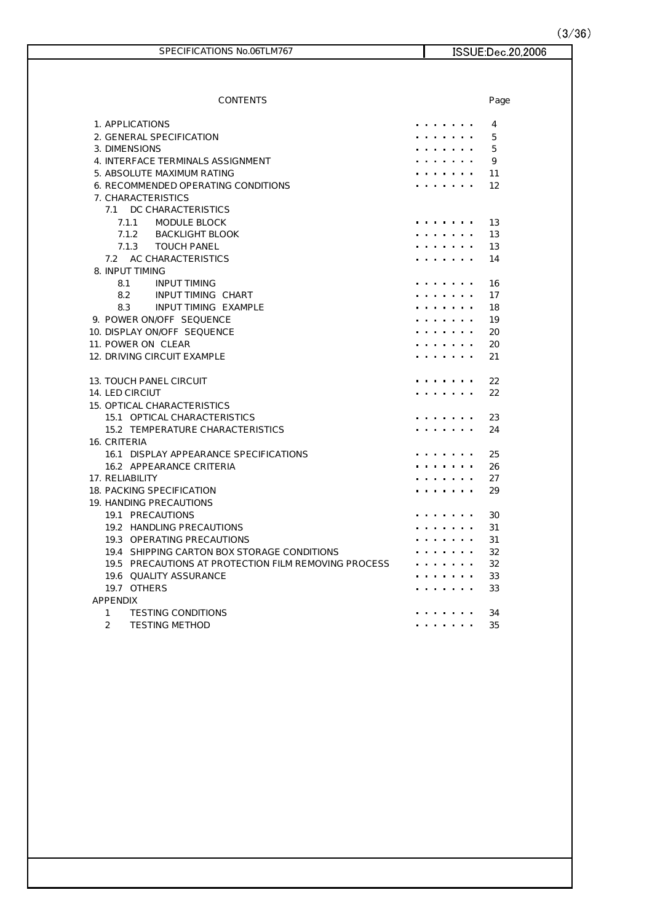$(3/36)$ 

| SPECIFICATIONS No.06TLM767                           | ISSUE:Dec.20,2006 |
|------------------------------------------------------|-------------------|
|                                                      |                   |
|                                                      |                   |
| CONTENTS                                             | Page              |
| 1. APPLICATIONS                                      | 4                 |
| 2. GENERAL SPECIFICATION                             | 5                 |
| 3. DIMENSIONS                                        | 5                 |
| 4. INTERFACE TERMINALS ASSIGNMENT                    | 9                 |
| 5. ABSOLUTE MAXIMUM RATING                           | 11                |
| 6. RECOMMENDED OPERATING CONDITIONS                  | 12                |
| 7. CHARACTERISTICS                                   |                   |
| 7.1 DC CHARACTERISTICS                               |                   |
| MODULE BLOCK<br>7.1.1                                | 13                |
| 7.1.2<br>BACKLIGHT BLOOK                             | 13                |
| <b>TOUCH PANEL</b><br>7.1.3                          | 13                |
| 7.2 AC CHARACTERISTICS                               | 14                |
| 8. INPUT TIMING                                      |                   |
| 8.1<br><b>INPUT TIMING</b>                           | 16                |
| 8.2<br>INPUT TIMING CHART                            | 17                |
| 8.3<br>INPUT TIMING EXAMPLE                          | 18                |
| 9. POWER ON OFF SEQUENCE                             | 19                |
| 10. DISPLAY ON OFF SEQUENCE                          | 20                |
| 11. POWER ON CLEAR                                   | 20                |
| 12. DRIVING CIRCUIT EXAMPLE                          | 21                |
| <b>13. TOUCH PANEL CIRCUIT</b>                       | 22                |
| 14. LED CIRCIUT                                      | 22                |
| 15. OPTICAL CHARACTERISTICS                          |                   |
| 15.1 OPTICAL CHARACTERISTICS                         | 23                |
| 15.2 TEMPERATURE CHARACTERISTICS                     | 24                |
| 16. CRITERIA                                         |                   |
| 16.1 DISPLAY APPEARANCE SPECIFICATIONS               | 25                |
| 16.2 APPEARANCE CRITERIA                             | 26                |
| 17. RELIABILITY                                      | 27                |
| 18. PACKING SPECIFICATION                            | 29<br>.           |
| 19. HANDING PRECAUTIONS                              |                   |
| 19.1 PRECAUTIONS                                     | 30                |
| 19.2 HANDLING PRECAUTIONS                            | 31                |
| 19.3 OPERATING PRECAUTIONS                           | 31                |
| 19.4 SHIPPING CARTON BOX STORAGE CONDITIONS          | 32                |
| 19.5 PRECAUTIONS AT PROTECTION FILM REMOVING PROCESS | 32                |
| 19.6 QUALITY ASSURANCE                               | 33                |
| 19.7 OTHERS                                          | 33                |
| <b>APPENDIX</b>                                      |                   |
| $\mathbf{1}$<br><b>TESTING CONDITIONS</b>            | 34                |
| $\overline{2}$<br>TESTING METHOD                     | 35                |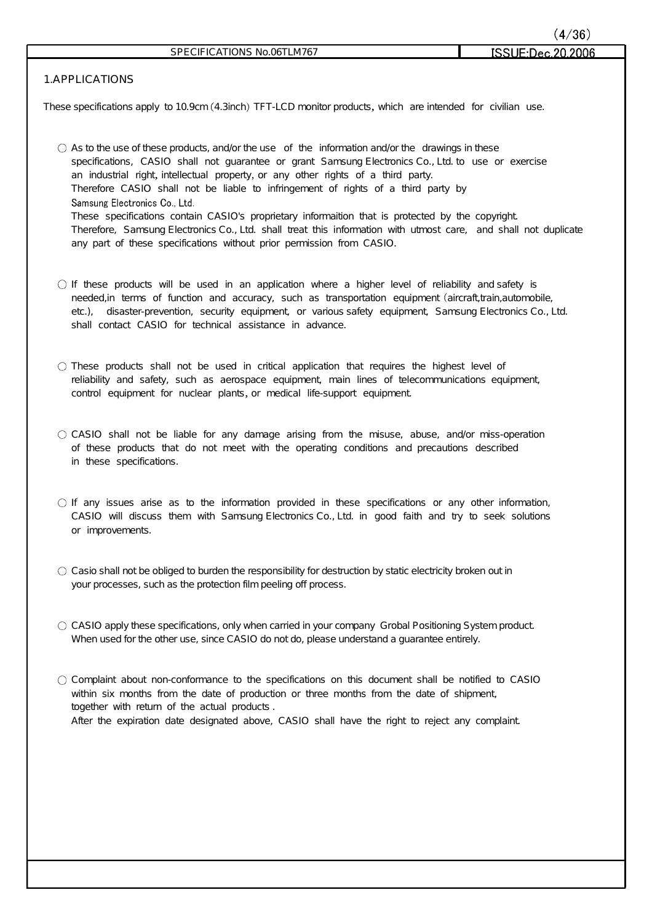**ISSLIE**-Dec

### **1.APPLICATIONS**

These specifications apply to 10.9cm (4.3inch) TFT-LCD monitor products, which are intended for civilian use.

- $\bigcirc$  As to the use of these products, and/or the use of the information and/or the drawings in these specifications, CASIO shall not guarantee or grant Samsung Electronics Co., Ltd. to use or exercise an industrial right, intellectual property, or any other rights of a third party. Therefore CASIO shall not be liable to infringement of rights of a third party by Samsung Electronics Co., Ltd. These specifications contain CASIO's proprietary informaition that is protected by the copyright. Therefore, Samsung Electronics Co., Ltd. shall treat this information with utmost care, and shall not duplicate any part of these specifications without prior permission from CASIO.
- $\bigcirc$  If these products will be used in an application where a higher level of reliability and safety is needed, in terms of function and accuracy, such as transportation equipment (aircraft, train, automobile, etc.), disaster-prevention, security equipment, or various safety equipment, Samsung Electronics Co., Ltd. shall contact CASIO for technical assistance in advance.
- $\bigcirc$  These products shall not be used in critical application that requires the highest level of reliability and safety, such as aerospace equipment, main lines of telecommunications equipment, control equipment for nuclear plants, or medical life-support equipment.
- $\circ$  CASIO shall not be liable for any damage arising from the misuse, abuse, and/or miss-operation of these products that do not meet with the operating conditions and precautions described in these specifications.
- $\bigcirc$  If any issues arise as to the information provided in these specifications or any other information, CASIO will discuss them with Samsung Electronics Co., Ltd. in good faith and try to seek solutions or improvements.
- $\bigcirc$  Casio shall not be obliged to burden the responsibility for destruction by static electricity broken out in your processes, such as the protection film peeling off process.
- $\circ$  CASIO apply these specifications, only when carried in your company Grobal Positioning System product. When used for the other use, since CASIO do not do, please understand a guarantee entirely.
- $\bigcirc$  Complaint about non-conformance to the specifications on this document shall be notified to CASIO within six months from the date of production or three months from the date of shipment, together with return of the actual products . After the expiration date designated above, CASIO shall have the right to reject any complaint.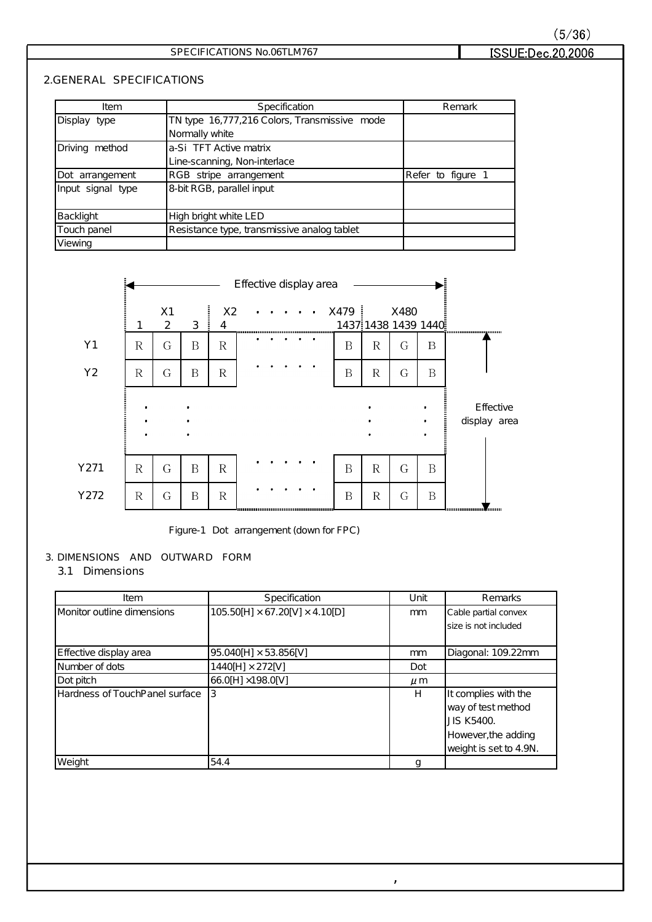### SPECIFICATIONS No.06TLM767

### **2.GENERAL SPECIFICATIONS**

| Item              | Specification                                | Remark            |
|-------------------|----------------------------------------------|-------------------|
| Display type      | TN type 16,777,216 Colors, Transmissive mode |                   |
|                   | Normally white                               |                   |
| Driving method    | a-Si TFT Active matrix                       |                   |
|                   | Line-scanning, Non-interlace                 |                   |
| Dot arrangement   | RGB stripe arrangement                       | Refer to figure 1 |
| Input signal type | 8-bit RGB, parallel input                    |                   |
|                   |                                              |                   |
| Backlight         | High bright white LED                        |                   |
| Touch panel       | Resistance type, transmissive analog tablet  |                   |
| Viewing           |                                              |                   |



Figure-1 Dot arrangement (down for FPC)

### **3. DIMENSIONS AND OUTWARD FORM**

### **3.1 Dimensions**

| Item                           | Specification                              | Unit    | Remarks                |
|--------------------------------|--------------------------------------------|---------|------------------------|
| Monitor outline dimensions     | $105.50[H] \times 67.20[V] \times 4.10[D]$ | mm      | Cable partial convex   |
|                                |                                            |         | size is not included   |
|                                |                                            |         |                        |
| E ffective display area        | 95.040[H] × 53.856[V]                      | mm      | Diagonal: 109.22mm     |
| Number of dots                 | $1440[H] \times 272[V]$                    | Dot     |                        |
| Dot pitch                      | 66.0[H] ×198.0[V]                          | $\mu$ m |                        |
| Hardness of TouchPanel surface | Ι3                                         | H       | It complies with the   |
|                                |                                            |         | way of test method     |
|                                |                                            |         | <b>JIS K5400</b>       |
|                                |                                            |         | However, the adding    |
|                                |                                            |         | weight is set to 4.9N. |
| Weight                         | 54.4                                       | q       |                        |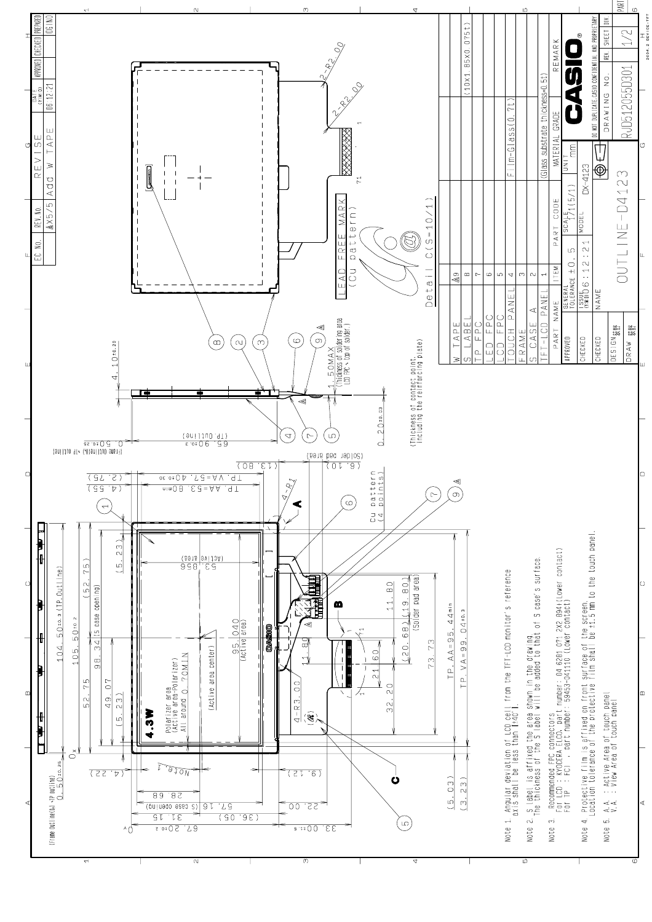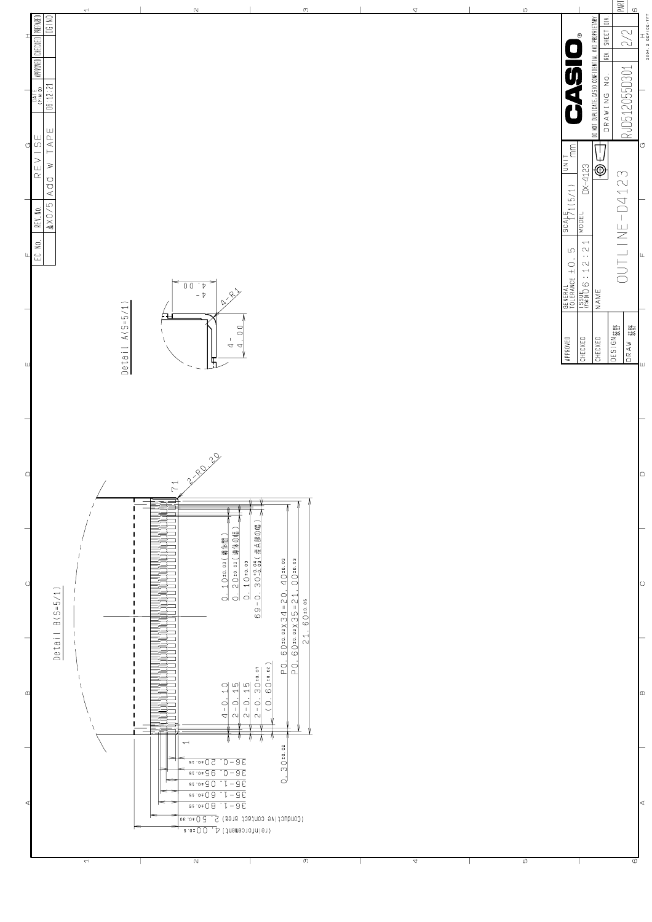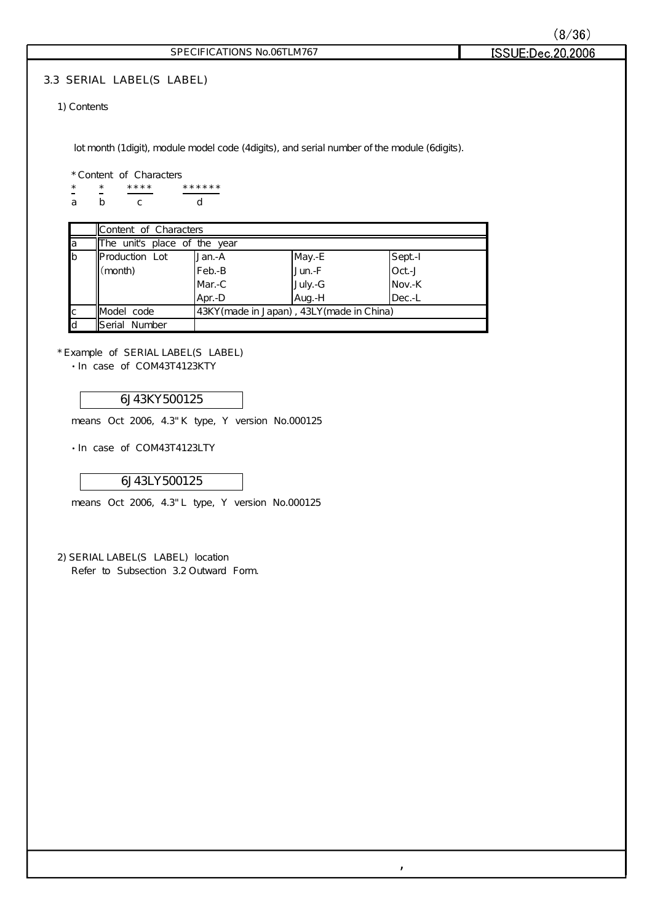| (8/36)            |  |
|-------------------|--|
| ISSUE:Dec.20,2006 |  |

### SPECIFICATIONS No.06TLM767

### **3.3 SERIAL LABEL(S LABEL)**

### 1) Contents

lot month (1digit), module model code (4digits), and serial number of the module (6digits).

#### \* Content of Characters

\* \* \*\*\*\* \*\*\*\*\* a b c d

|              | Content of Characters        |                                            |          |        |
|--------------|------------------------------|--------------------------------------------|----------|--------|
| a            | The unit's place of the year |                                            |          |        |
| b            | <b>Production Lot</b>        | Jan.-A                                     | May.-E   | Sept-I |
|              | $\lceil$ (month)             | Feb.-B                                     | Jun.-F   | Oct-J  |
|              |                              | Mar.-C                                     | July. -G | Nov.-K |
|              |                              | Apr.-D                                     | Aug.-H   | Dec.-L |
| $\mathsf{C}$ | Model code                   | 43KY (made in Japan), 43LY (made in China) |          |        |
| d            | <b>I</b> Serial Number       |                                            |          |        |

,

\* Example of SERIAL LABEL(S LABEL)

 $\cdot$  In case of COM43T4123KTY

### 6J43KY500125

means Oct 2006, 4.3"K type, Y version No.000125

· In case of COM43T4123LTY

### 6J43LY500125

means Oct 2006, 4.3" L type, Y version No.000125

2) SERIAL LABEL(S LABEL) location Refer to Subsection 3.2 Outward Form.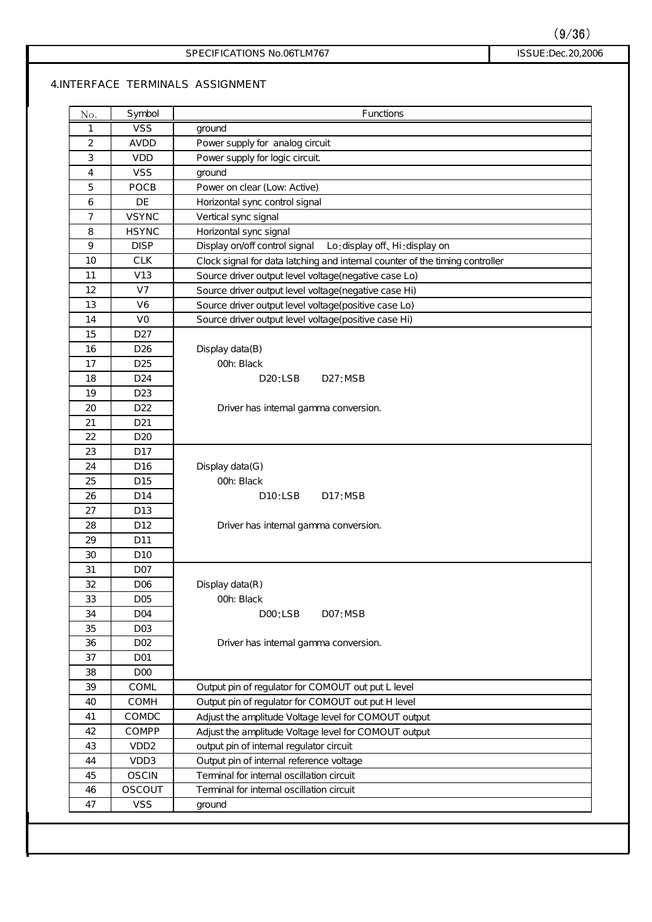ISSUE:Dec.20,2006

#### SPECIFICATIONS No.06TLM767

### **4.INTERFACE TERMINALS ASSIGNMENT**

| 1<br>$\overline{2}$<br>3<br>4<br>5<br>6<br>$\overline{7}$<br>8<br>9<br>10<br>11 | <b>VSS</b><br>AVDD<br><b>VDD</b><br><b>VSS</b><br>POCB<br>DE<br><b>VSYNC</b><br><b>HSYNC</b><br><b>DISP</b><br><b>CLK</b><br>V13 | ground<br>Power supply for analog circuit<br>Power supply for logic circuit<br>ground<br>Power on clear (Low. Active)<br>Horizontal sync control signal<br>Vertical sync signal<br>Horizontal sync signal<br>Display on/off control signal<br>Lo:display off, Hi:display on<br>Clock signal for data latching and internal counter of the timing controller |
|---------------------------------------------------------------------------------|----------------------------------------------------------------------------------------------------------------------------------|-------------------------------------------------------------------------------------------------------------------------------------------------------------------------------------------------------------------------------------------------------------------------------------------------------------------------------------------------------------|
|                                                                                 |                                                                                                                                  |                                                                                                                                                                                                                                                                                                                                                             |
|                                                                                 |                                                                                                                                  |                                                                                                                                                                                                                                                                                                                                                             |
|                                                                                 |                                                                                                                                  |                                                                                                                                                                                                                                                                                                                                                             |
|                                                                                 |                                                                                                                                  |                                                                                                                                                                                                                                                                                                                                                             |
|                                                                                 |                                                                                                                                  |                                                                                                                                                                                                                                                                                                                                                             |
|                                                                                 |                                                                                                                                  |                                                                                                                                                                                                                                                                                                                                                             |
|                                                                                 |                                                                                                                                  |                                                                                                                                                                                                                                                                                                                                                             |
|                                                                                 |                                                                                                                                  |                                                                                                                                                                                                                                                                                                                                                             |
|                                                                                 |                                                                                                                                  |                                                                                                                                                                                                                                                                                                                                                             |
|                                                                                 |                                                                                                                                  |                                                                                                                                                                                                                                                                                                                                                             |
|                                                                                 |                                                                                                                                  | Source driver output level voltage(negative case Lo)                                                                                                                                                                                                                                                                                                        |
| 12                                                                              | V <sub>7</sub>                                                                                                                   | Source driver output level voltage(negative case Hi)                                                                                                                                                                                                                                                                                                        |
| 13                                                                              | V6                                                                                                                               | Source driver output level voltage(positive case Lo)                                                                                                                                                                                                                                                                                                        |
| 14                                                                              | VO                                                                                                                               | Source driver output level voltage(positive case Hi)                                                                                                                                                                                                                                                                                                        |
| 15                                                                              | D <sub>27</sub>                                                                                                                  |                                                                                                                                                                                                                                                                                                                                                             |
| 16                                                                              | D <sub>26</sub>                                                                                                                  | Display data(B)                                                                                                                                                                                                                                                                                                                                             |
| 17                                                                              | D <sub>25</sub>                                                                                                                  | OOh: Black                                                                                                                                                                                                                                                                                                                                                  |
| 18                                                                              | D <sub>24</sub>                                                                                                                  | D2O:LSB<br>D27:MSB                                                                                                                                                                                                                                                                                                                                          |
| 19                                                                              | D <sub>23</sub>                                                                                                                  |                                                                                                                                                                                                                                                                                                                                                             |
| 20                                                                              | D <sub>22</sub>                                                                                                                  | Driver has internal gamma conversion.                                                                                                                                                                                                                                                                                                                       |
| 21                                                                              | D <sub>21</sub>                                                                                                                  |                                                                                                                                                                                                                                                                                                                                                             |
| 22                                                                              | D <sub>20</sub>                                                                                                                  |                                                                                                                                                                                                                                                                                                                                                             |
| 23                                                                              | D17                                                                                                                              |                                                                                                                                                                                                                                                                                                                                                             |
| 24                                                                              | D <sub>16</sub>                                                                                                                  | Display data(G)                                                                                                                                                                                                                                                                                                                                             |
| 25                                                                              | D <sub>15</sub>                                                                                                                  | OOh: Black                                                                                                                                                                                                                                                                                                                                                  |
| 26                                                                              | D14                                                                                                                              | D <sub>10</sub> :LSB<br>D17:MSB                                                                                                                                                                                                                                                                                                                             |
| 27                                                                              | D13                                                                                                                              |                                                                                                                                                                                                                                                                                                                                                             |
| 28                                                                              | D <sub>12</sub>                                                                                                                  | Driver has internal gamma conversion.                                                                                                                                                                                                                                                                                                                       |
| 29                                                                              | D <sub>11</sub>                                                                                                                  |                                                                                                                                                                                                                                                                                                                                                             |
| 30                                                                              | D <sub>10</sub>                                                                                                                  |                                                                                                                                                                                                                                                                                                                                                             |
| 31                                                                              | D <sub>O</sub>                                                                                                                   |                                                                                                                                                                                                                                                                                                                                                             |
| 32                                                                              | D <sub>06</sub>                                                                                                                  | Display data(R)                                                                                                                                                                                                                                                                                                                                             |
| 33                                                                              | D <sub>05</sub>                                                                                                                  | OOh: Black                                                                                                                                                                                                                                                                                                                                                  |
| 34                                                                              | D <sub>04</sub>                                                                                                                  | DOO:LSB<br>DO7:MSB                                                                                                                                                                                                                                                                                                                                          |
| 35                                                                              | D <sub>03</sub>                                                                                                                  |                                                                                                                                                                                                                                                                                                                                                             |
| 36                                                                              | D <sub>02</sub>                                                                                                                  | Driver has internal gamma conversion.                                                                                                                                                                                                                                                                                                                       |
| 37                                                                              | D <sub>01</sub>                                                                                                                  |                                                                                                                                                                                                                                                                                                                                                             |
| 38                                                                              | D <sub>00</sub>                                                                                                                  |                                                                                                                                                                                                                                                                                                                                                             |
| 39                                                                              | COML                                                                                                                             | Output pin of regulator for COMOUT out put L level                                                                                                                                                                                                                                                                                                          |
| 40                                                                              | COMH                                                                                                                             | Output pin of regulator for COMOUT out put H level                                                                                                                                                                                                                                                                                                          |
| 41                                                                              | COMDC                                                                                                                            | Adjust the amplitude Voltage level for COMOUT output                                                                                                                                                                                                                                                                                                        |
| 42                                                                              | COMPP                                                                                                                            | Adjust the amplitude Voltage level for COMOUT output                                                                                                                                                                                                                                                                                                        |
| 43                                                                              | VDD <sub>2</sub>                                                                                                                 | output pin of internal regulator circuit                                                                                                                                                                                                                                                                                                                    |
| 44                                                                              | VDD3                                                                                                                             | Output pin of internal reference voltage                                                                                                                                                                                                                                                                                                                    |
| 45                                                                              | <b>OSCIN</b>                                                                                                                     | Terminal for internal oscillation circuit                                                                                                                                                                                                                                                                                                                   |
| 46                                                                              | OSCOUT                                                                                                                           | Terminal for internal oscillation circuit                                                                                                                                                                                                                                                                                                                   |
| 47                                                                              | <b>VSS</b>                                                                                                                       | ground                                                                                                                                                                                                                                                                                                                                                      |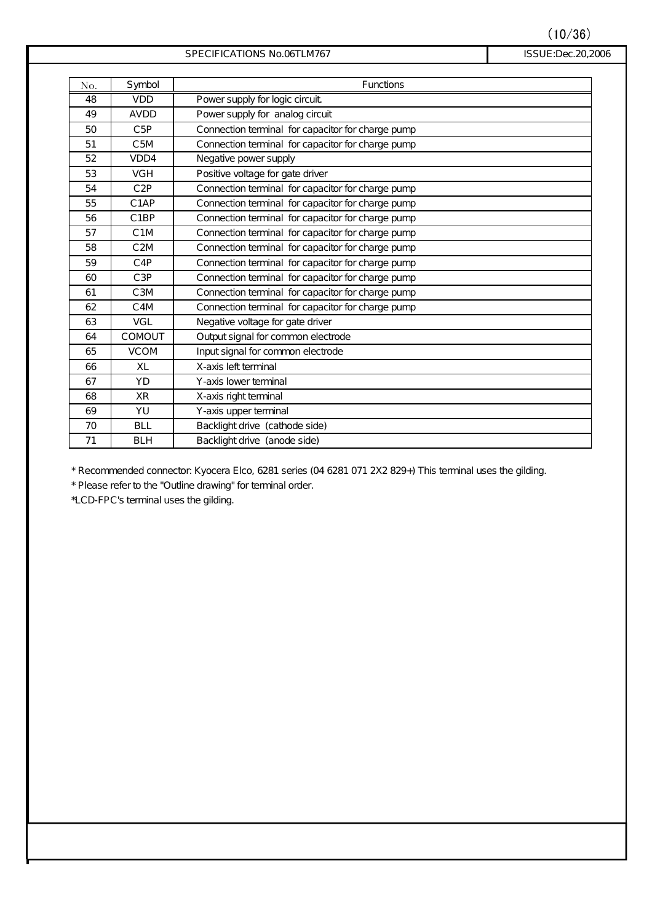$(10/36)$ 

ISSUE:Dec.20,2006

| SPECIFICATIONS No.06TLM767 |  |
|----------------------------|--|
|                            |  |

| TIONS No.06TLM767 |  |
|-------------------|--|
|-------------------|--|

| No. | Symbol            | Functions                                         |
|-----|-------------------|---------------------------------------------------|
| 48  | <b>VDD</b>        | Power supply for logic circuit                    |
| 49  | AVDD              | Power supply for analog circuit                   |
| 50  | C5P               | Connection terminal for capacitor for charge pump |
| 51  | C <sub>5M</sub>   | Connection terminal for capacitor for charge pump |
| 52  | VDD4              | Negative power supply                             |
| 53  | <b>VGH</b>        | Positive voltage for gate driver                  |
| 54  | C2P               | Connection terminal for capacitor for charge pump |
| 55  | C <sub>1</sub> AP | Connection terminal for capacitor for charge pump |
| 56  | C <sub>1</sub> BP | Connection terminal for capacitor for charge pump |
| 57  | C <sub>1</sub> M  | Connection terminal for capacitor for charge pump |
| 58  | C <sub>2M</sub>   | Connection terminal for capacitor for charge pump |
| 59  | $C$ 4P            | Connection terminal for capacitor for charge pump |
| 60  | C3P               | Connection terminal for capacitor for charge pump |
| 61  | C <sub>3</sub> M  | Connection terminal for capacitor for charge pump |
| 62  | C <sub>4</sub> M  | Connection terminal for capacitor for charge pump |
| 63  | VGL               | Negative voltage for gate driver                  |
| 64  | COMOUT            | Output signal for common electrode                |
| 65  | <b>VCOM</b>       | Input signal for common electrode                 |
| 66  | XL                | X-axis left terminal                              |
| 67  | <b>YD</b>         | Y-axis lower terminal                             |
| 68  | <b>XR</b>         | X-axis right terminal                             |
| 69  | YU                | Y-axis upper terminal                             |
| 70  | <b>BLL</b>        | Backlight drive (cathode side)                    |
| 71  | <b>BLH</b>        | Backlight drive (anode side)                      |

\* Recommended connector: Kyocera Elco, 6281 series (04 6281 071 2X2 829+) This terminal uses the gilding.

\* Please refer to the "Outline drawing" for terminal order.

\*LCD-FPC's terminal uses the gilding.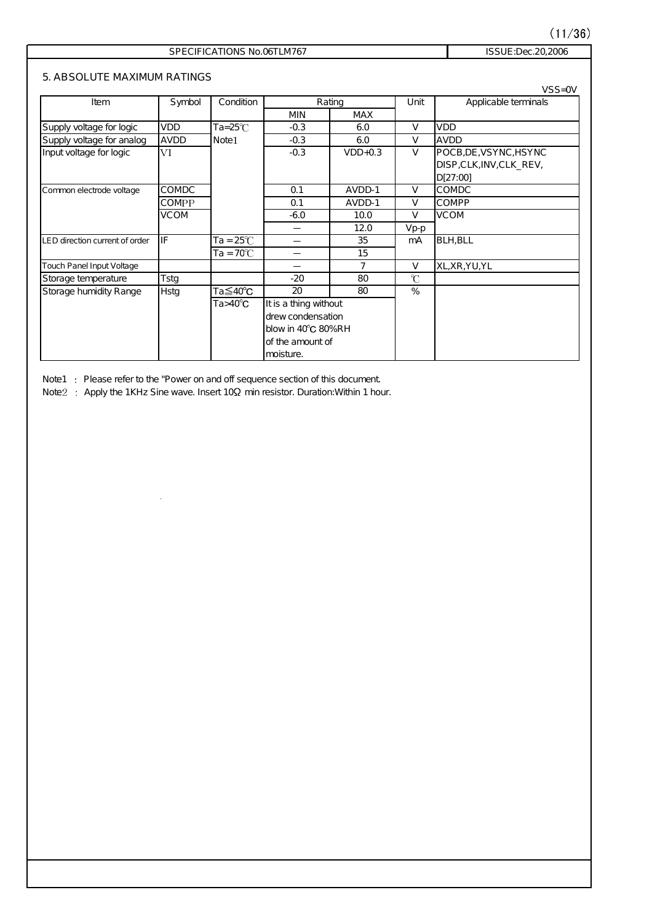### $(11/36)$

### SPECIFICATIONS No.06TLM767 ISSUE:Dec.20,2006

### **5. ABSOLUTE MAXIMUM RATINGS**

|                                |             |                    |                          |            |               | $VSS=OV$                 |  |
|--------------------------------|-------------|--------------------|--------------------------|------------|---------------|--------------------------|--|
| Item                           | Symbol      | Condition          | Rating                   |            | Unit          | Applicable terminals     |  |
|                                |             |                    | <b>MIN</b>               | <b>MAX</b> |               |                          |  |
| Supply voltage for logic       | VDD         | $Ta = 25^{\circ}C$ | $-0.3$                   | 6.0        | $\vee$        | <b>VDD</b>               |  |
| Supply voltage for analog      | AVDD        | Note <sub>1</sub>  | $-0.3$                   | 6.0        | V             | AVDD                     |  |
| Input voltage for logic        | VI          |                    | $-0.3$                   | $VDD+O.3$  | $\vee$        | POCB, DE, VSYNC, HSYNC   |  |
|                                |             |                    |                          |            |               | DISP, CLK, INV, CLK_REV, |  |
|                                |             |                    |                          |            |               | D[27:00]                 |  |
| Common electrode voltage       | COMDC       |                    | 0.1                      | AVDD-1     | $\mathsf{V}$  | <b>COMDC</b>             |  |
|                                | COMPP       |                    | 0.1                      | AVDD-1     | V             | <b>COMPP</b>             |  |
|                                | VCOM        |                    | $-6.0$                   | 10.0       | $\vee$        | <b>VCOM</b>              |  |
|                                |             |                    |                          | 12.0       | Vp-p          |                          |  |
| LED direction current of order | IF          | Ta = 25°C $\,$     | $\overline{\phantom{a}}$ | 35         | mA            | <b>BLH, BLL</b>          |  |
|                                |             | $Ta = 70^{\circ}C$ |                          | 15         |               |                          |  |
| Touch Panel Input Voltage      |             |                    |                          | 7          | V             | XL, XR, YU, YL           |  |
| Storage temperature            | Tstg        |                    | $-20$                    | 80         | $\mathcal{C}$ |                          |  |
| Storage humidity Range         | <b>Hstg</b> | Ta≦40°C            | 20                       | 80         | %             |                          |  |
|                                |             | $Ta>40^{\circ}C$   | It is a thing without    |            |               |                          |  |
|                                |             |                    | drew condensation        |            |               |                          |  |
|                                |             |                    | blow in 40°C 80%RH       |            |               |                          |  |
|                                |             | lof the amount of  |                          |            |               |                          |  |
|                                |             |                    | moisture.                |            |               |                          |  |

Note1 : Please refer to the "Power on and off sequence section of this document.

Note  $2$ : Apply the 1KHz Sine wave. Insert 10 $\Omega$  min resistor. Duration: Within 1 hour.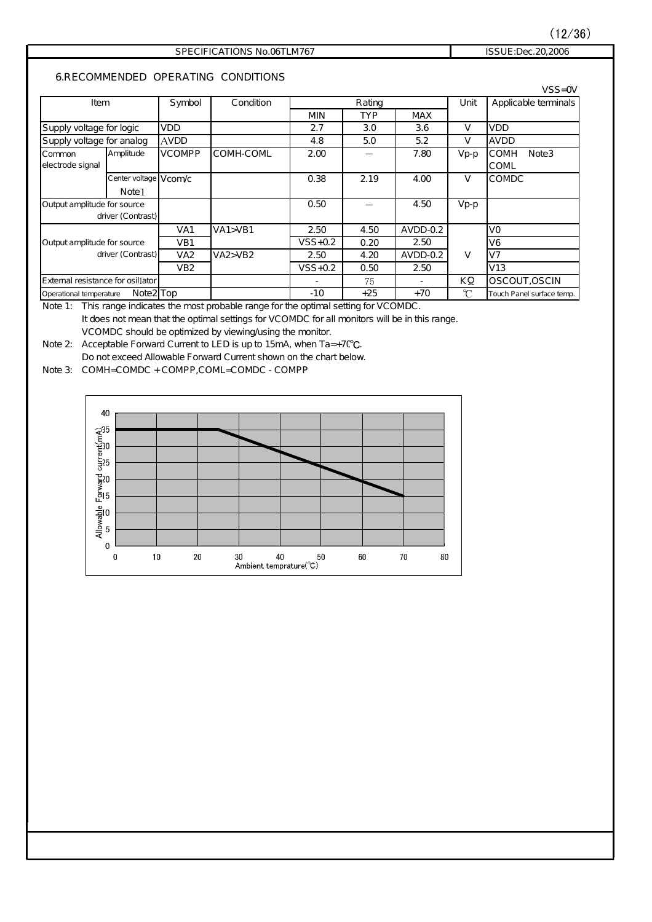### $(12/36)$

### SPECIFICATIONS No.06TLM767 ISSUE:Dec.20,2006

**6.RECOMMENDED OPERATING CONDITIONS**

|                                   |                        |                 |           |             |            |            |        | $VSS=OV$                         |
|-----------------------------------|------------------------|-----------------|-----------|-------------|------------|------------|--------|----------------------------------|
| Item                              |                        | <b>Symbol</b>   | Condition | Rating      |            |            | Unit   | Applicable terminals             |
|                                   |                        |                 |           | <b>MIN</b>  | <b>TYP</b> | <b>MAX</b> |        |                                  |
| Supply voltage for logic          |                        | <b>VDD</b>      |           | 2.7         | 3.0        | 3.6        | V      | <b>VDD</b>                       |
| Supply voltage for analog         |                        | <b>AVDD</b>     |           | 4.8         | 5.0        | 5.2        | V      | AVDD                             |
| Common                            | Amplitude              | <b>VCOMPP</b>   | COMH-COML | 2.00        |            | 7.80       | $Vp-p$ | <b>COMH</b><br>Note <sub>3</sub> |
| electrode signal                  |                        |                 |           |             |            |            |        | COML                             |
|                                   | Center voltage V com/c |                 |           | 0.38        | 2.19       | 4.00       | V      | COMDC                            |
|                                   | Note1                  |                 |           |             |            |            |        |                                  |
| Output amplitude for source       |                        |                 |           | 0.50        |            | 4.50       | $Vp-p$ |                                  |
|                                   | driver (Contrast)      |                 |           |             |            |            |        |                                  |
|                                   |                        | VA1             | VA1 > VB1 | 2.50        | 4.50       | $AVDD-0.2$ |        | VO                               |
| Output amplitude for source       |                        | VB <sub>1</sub> |           | $VSS + 0.2$ | 0.20       | 2.50       |        | V6                               |
| driver (Contrast)                 |                        | VA <sub>2</sub> | VA2 > VB2 | 2.50        | 4.20       | $AVDD-0.2$ | V      | V <sub>7</sub>                   |
|                                   |                        | VB <sub>2</sub> |           | $VSS + 0.2$ | 0.50       | 2.50       |        | V13                              |
| External resistance for osillator |                        |                 |           |             | 75         |            | ΚΩ     | OSCOUT, OSCIN                    |
| Operational temperature           | Note2 <sup>Top</sup>   |                 |           | $-10$       | $+25$      | $+70$      | C      | Touch Panel surface temp.        |

Note 1: This range indicates the most probable range for the optimal setting for VCOMDC. It does not mean that the optimal settings for VCOMDC for all monitors will be in this range. VCOMDC should be optimized by viewing/using the monitor.

Note 2: Acceptable Forward Current to LED is up to 15mA, when  $Ta = +7C^{\circ}C$ . Do not exceed Allowable Forward Current shown on the chart below.

Note 3: COMH=COMDC + COMPP,COML=COMDC -COMPP

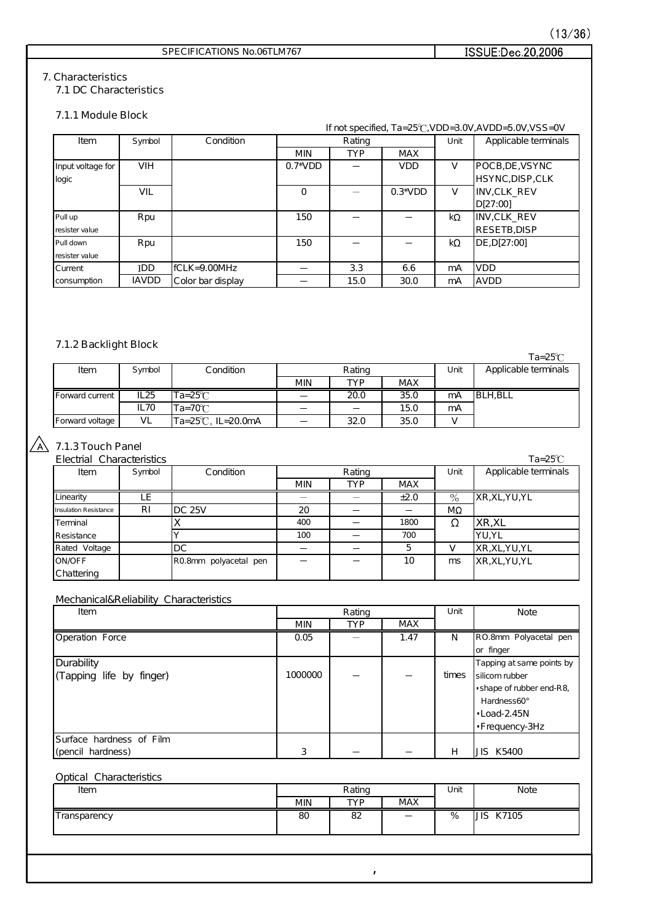### SPECIFICATIONS No.06TLM767

### ISSUE:Dec.20,2006

### **7. Characteristics**

**7.1 DC Characteristics**

### **7.1.1 Module Block**

|                   |               |                   |                 | If not specified, $Ta = 25^{\circ}C$ , $VDD = 3.0V$ , $AVDD = 5.0V$ , $VSS = OV$ |            |           |                      |
|-------------------|---------------|-------------------|-----------------|----------------------------------------------------------------------------------|------------|-----------|----------------------|
| Item              | <b>Symbol</b> | Condition         |                 | Rating                                                                           |            | Unit      | Applicable terminals |
|                   |               |                   | <b>MIN</b>      | <b>TYP</b>                                                                       | <b>MAX</b> |           |                      |
| Input voltage for | <b>VIH</b>    |                   | $0.7^{\ast}VDD$ |                                                                                  | <b>VDD</b> | V         | POCB, DE, VSYNC      |
| logic             |               |                   |                 |                                                                                  |            |           | HSYNC, DISP, CLK     |
|                   | VIL           |                   | $\Omega$        |                                                                                  | $0.3*VDD$  | V         | INV.CLK REV          |
|                   |               |                   |                 |                                                                                  |            |           | D[27:00]             |
| Pull up           | Rpu           |                   | 150             |                                                                                  |            | $k\Omega$ | INV, CLK_REV         |
| resister value    |               |                   |                 |                                                                                  |            |           | RESETB.DISP          |
| Pull down         | <b>R</b> pu   |                   | 150             |                                                                                  |            | kΩ        | DE, D[27:00]         |
| resister value    |               |                   |                 |                                                                                  |            |           |                      |
| <b>Current</b>    | <b>IDD</b>    | IfCLK=9.00MHz     |                 | 3.3                                                                              | 6.6        | mA        | <b>VDD</b>           |
| consumption       | <b>IAVDD</b>  | Color bar display |                 | 15.0                                                                             | 30.0       | mA        | IAVDD                |

### **7.1.2 Backlight Block**

|                 |                  |                       |            |            |            |      | $Ta = 25^\circ\text{C}$ |
|-----------------|------------------|-----------------------|------------|------------|------------|------|-------------------------|
| Item            | S ymbol          | Condition             |            | Rating     |            | Unit | Applicable terminals    |
|                 |                  |                       | <b>MIN</b> | <b>TYP</b> | <b>MAX</b> |      |                         |
| Forward current | IL 25            | $Ta = 25\overline{C}$ |            | 20.0       | 35.0       | mA   | BLH, BLL                |
|                 | IL <sub>70</sub> | $Ta=70^\circ C$       |            |            | 15.0       | mA   |                         |
| Forward voltage | VL               | Ta=25°C, IL=20.0mA    |            | 32.0       | 35.0       |      |                         |

### **7.1.3 Touch Panel**

| Electrial Characteristics |               |                       |            |            |            |      | $Ta = 25^{\circ}C$   |
|---------------------------|---------------|-----------------------|------------|------------|------------|------|----------------------|
| Item                      | <b>Symbol</b> | Condition             |            | Rating     |            | Unit | Applicable terminals |
|                           |               |                       | <b>MIN</b> | <b>TYP</b> | <b>MAX</b> |      |                      |
| Linearity                 |               |                       |            |            | ±2.0       | $\%$ | XR, XL, YU, YL       |
| Insulation Resistance     | R1            | $DC$ 25V              | 20         |            |            | MΩ   |                      |
| Terminal                  |               |                       | 400        |            | 1800       |      | XR,XL                |
| Resistance                |               |                       | 100        |            | 700        |      | IYU.YL               |
| Rated Voltage             |               | IDC                   |            |            | 5          |      | XR, XL, YU, YL       |
| <b>ON/OFF</b>             |               | RO.8mm polyacetal pen |            |            | 10         | ms   | XR, XL, YU, YL       |
| Chattering                |               |                       |            |            |            |      |                      |

### Mechanical&Reliability Characteristics

| Item                     | Rating     |            |            | Unit  | Note                      |
|--------------------------|------------|------------|------------|-------|---------------------------|
|                          | <b>MIN</b> | <b>TYP</b> | <b>MAX</b> |       |                           |
| Operation Force          | 0.05       |            | 1.47       | N     | RO.8mm Polyacetal pen     |
|                          |            |            |            |       | or finger                 |
| Durability               |            |            |            |       | Tapping at same points by |
| (Tapping life by finger) | 1000000    |            |            | times | silicom rubber            |
|                          |            |            |            |       | shape of rubber end-R8,   |
|                          |            |            |            |       | Hardness60°               |
|                          |            |            |            |       | $-$ Load-2.45N            |
|                          |            |            |            |       | Frequency-3Hz             |
| Surface hardness of Film |            |            |            |       |                           |
| (pencil hardness)        | 3          |            |            | н     | JIS K5400                 |

### Optical Characteristics

| Item              | Rating |            | Unit                     | <b>Note</b> |                                           |
|-------------------|--------|------------|--------------------------|-------------|-------------------------------------------|
|                   | min    | <b>TVD</b> | <b>MAX</b>               |             |                                           |
| --<br>ransparency | 80     | ററ<br>oz   | $\overline{\phantom{0}}$ | %           | $\overline{\phantom{a}}$<br>K7105<br>בונו |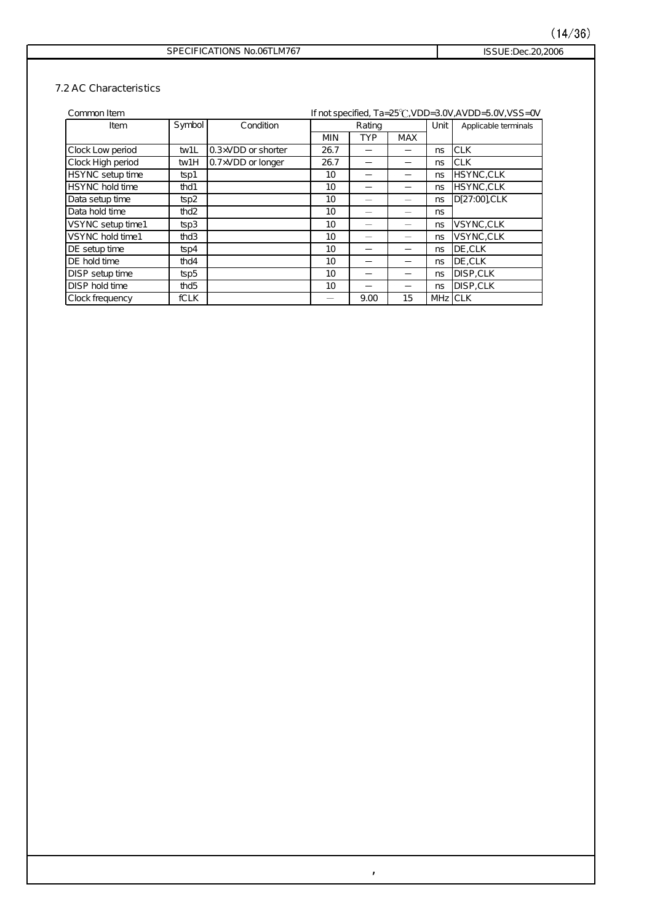### ISSUE:Dec.20,2006

#### **7.2 AC Characteristics**

| Common Item            |                  |                           | If not specified, Ta=25°C, VDD=3.0V, AVDD=5.0V, VSS=0V |            |            |          |                      |
|------------------------|------------------|---------------------------|--------------------------------------------------------|------------|------------|----------|----------------------|
| Item                   | <b>Symbol</b>    | Condition                 |                                                        | Rating     |            |          | Applicable terminals |
|                        |                  |                           | <b>MIN</b>                                             | <b>TYP</b> | <b>MAX</b> |          |                      |
| Clock Low period       | tw1L             | 0.3×VDD or shorter        | 26.7                                                   |            |            | ns       | <b>CLK</b>           |
| Clock High period      | <b>tw1H</b>      | $0.7\times VDD$ or longer | 26.7                                                   |            |            | ns       | <b>CLK</b>           |
| HSYNC setup time       | $t$ sp1          |                           | 10                                                     |            |            | ns       | HSYNC,CLK            |
| <b>HSYNC</b> hold time | thd1             |                           | 10                                                     |            |            | ns       | HSYNC,CLK            |
| Data setup time        | $t$ sp $2$       |                           | 10                                                     |            |            | ns       | D[27:00] CLK         |
| Data hold time         | thd <sub>2</sub> |                           | 10                                                     |            |            | ns       |                      |
| VSYNC setup time1      | $t$ sp3          |                           | 10                                                     |            |            | ns       | VSYNC,CLK            |
| VSYNC hold time1       | thd3             |                           | 10                                                     |            |            | ns       | VSYNC,CLK            |
| DE setup time          | $t$ sp $4$       |                           | 10                                                     |            |            | ns       | <b>I</b> DE.CLK      |
| DE hold time           | thd $4$          |                           | 10                                                     |            |            | ns       | DE, CLK              |
| DISP setup time        | $t$ sp5          |                           | 10                                                     |            |            | ns       | DISP,CLK             |
| DISP hold time         | thd <sub>5</sub> |                           | 10                                                     |            |            | ns       | <b>DISP.CLK</b>      |
| Clock frequency        | <b>fCLK</b>      |                           |                                                        | 9.00       | 15         | MHz ICLK |                      |

 $\mathcal{L}$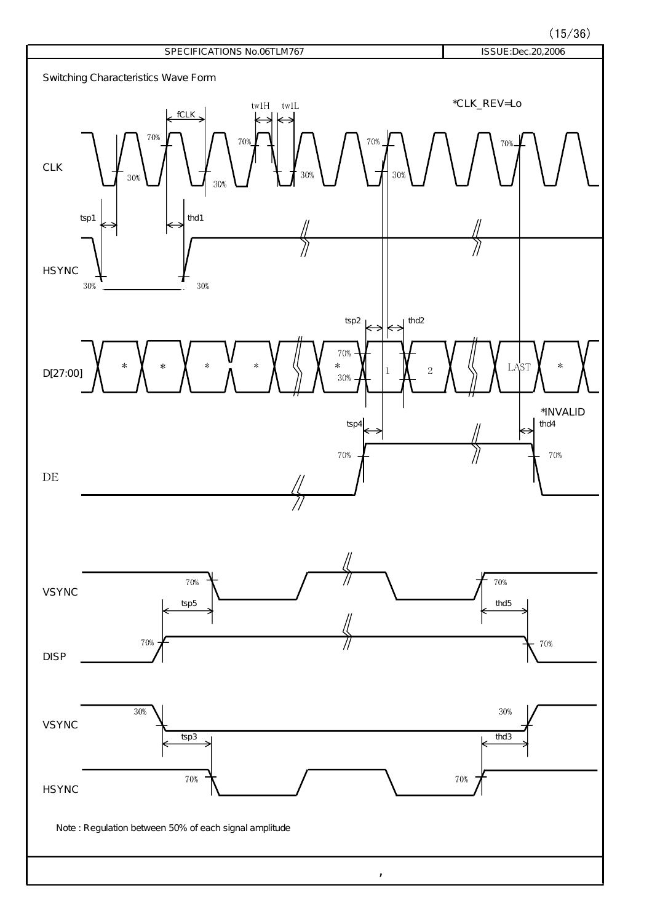$(15/36)$ 

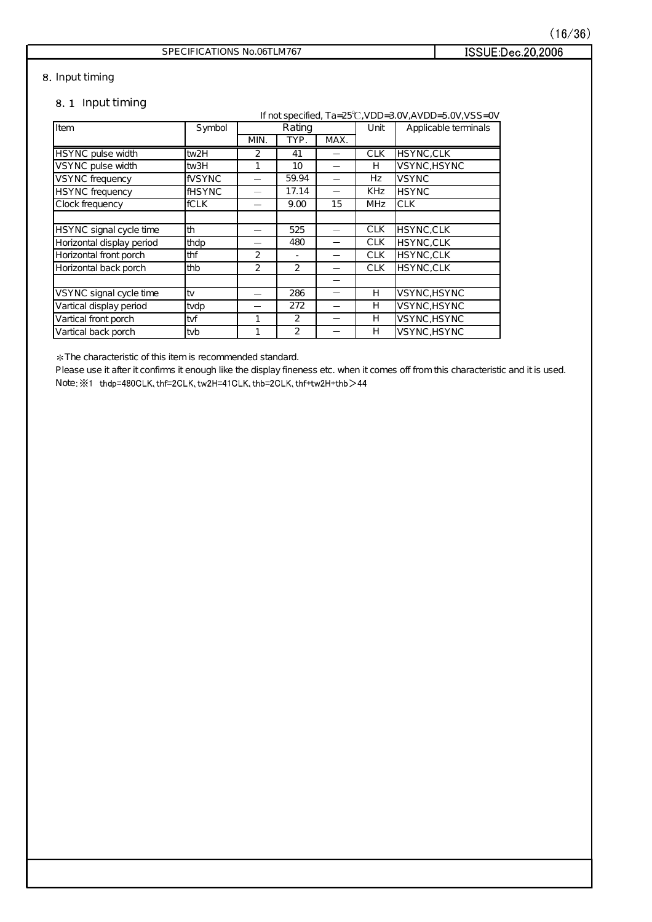ISSUE:Dec.20,2006

### SPECIFICATIONS No.06TLM767

### **Input timing**

### **Input timing**

If not specified,  $Ta = 25^\circ\text{C}$ ,  $VDD = 3.0\text{V}$ ,  $AVDD = 5.0\text{V}$ ,  $VSS = 0\text{V}$ **Item** HSYNC pulse width tw2H 41 HSYNC,CLK VSYNC pulse width tw3H 10 VSYNC,HSYNC  $VSYNC$  frequency  $VSYNC$   $-$  59.94  $-$  Hz VSYNC  $HSYNC$  frequency  $HSYNC$   $-$  17.14  $-$  KHz HSYNC Clock frequency fCLK CLK  $H$ SYNC signal cycle time  $\begin{vmatrix} \text{th} & \text{th} & \text{th} \end{vmatrix}$  -  $\begin{vmatrix} 525 & \text{th} & \text{th} & \text{th} \end{vmatrix}$  -  $\begin{vmatrix} 525 & \text{th} & \text{th} & \text{th} \end{vmatrix}$  CLK  $\begin{vmatrix} H$ SYNC,CLK Horizontal display period  $\theta$  thdp  $\theta$  -  $\theta$  480  $\theta$  -  $\theta$  CLK HSYNC, CLK Horizontal front porch  $\left|\begin{array}{ccc} \text{th } & 2 \\ \end{array}\right|$   $\left|\begin{array}{ccc} 2 & - \\ \end{array}\right|$   $\left|\begin{array}{ccc} - \\ \end{array}\right|$  CLK  $\left|\begin{array}{ccc} \text{HSYNC,CLK} \\ \end{array}\right|$ Horizontal back porch  $\begin{vmatrix}$ thb  $\end{vmatrix}$  2  $\begin{vmatrix} 2 & 2 \end{vmatrix}$  -  $\begin{vmatrix} 2 & 2 \end{vmatrix}$  CLK  $\begin{vmatrix} HSYNC,CLK \end{vmatrix}$ VSYNC signal cycle time tv VSYNC,HSYNC Vartical display period  $vdp$   $\rightarrow$   $272$   $+$   $\rightarrow$  VSYNC, HSYNC Vartical front porch tvf 1 VSYNC,HSYNC Vartical back porch tvb 1 VSYNC,HSYNC MIN. TYP. MAX. 2 15 286 272 2 480 - 2  $\overline{H}$ Rating Unit 2 59.94 17.14 9.00  $\overline{H}$ **CLK**  $\overline{H}$ CLK CLK CLK Hz KHz Symbol Rating Unit Applicable terminals H  $\overline{H}$ **MHz** 1 CLK

The characteristic of this item is recommended standard.

Please use it after it confirms it enough like the display fineness etc. when it comes off from this characteristic and it is used. Note:  $\frac{1}{2}$ 1 thdp=480CLK, thf=2CLK, tw2H=41CLK, thb=2CLK, thf+tw2H+thb >44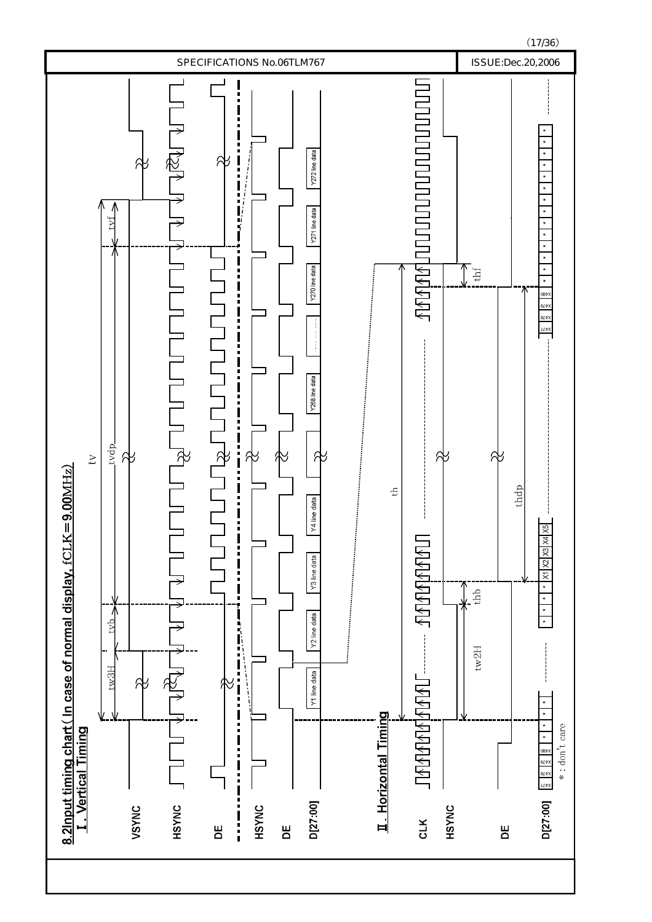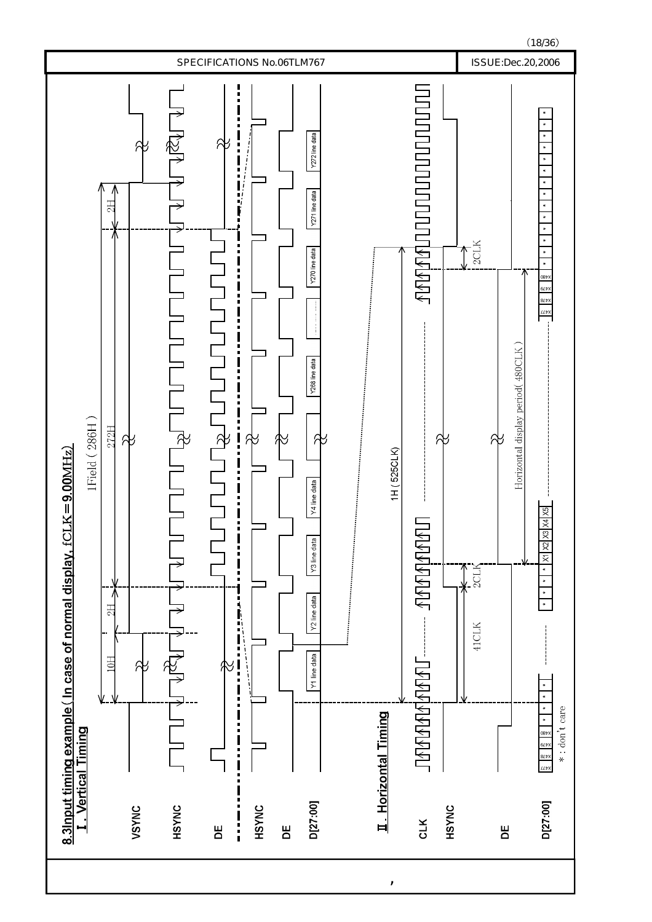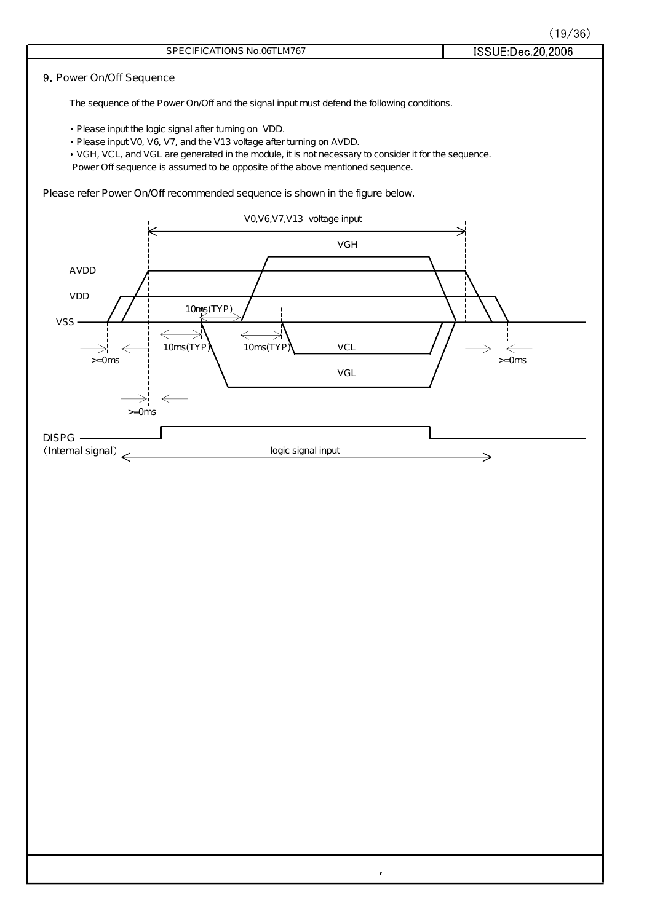|  | (19/36) |  |  |
|--|---------|--|--|
|  |         |  |  |

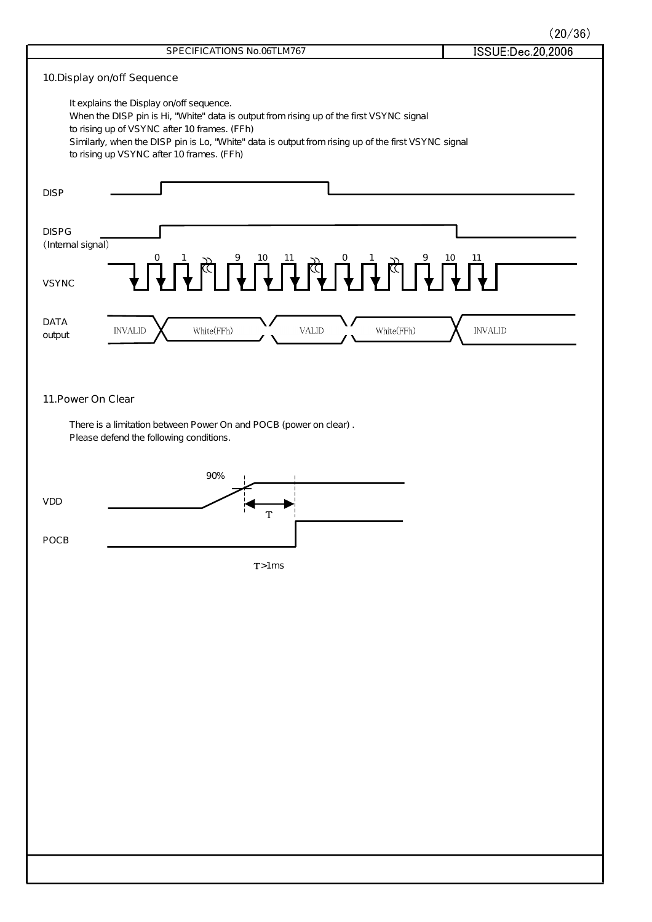$(20/36)$ 

| SPECIFICATIONS No.06TLM767                                                                                                                       | (20/30)<br>ISSUE:Dec.20,2006 |
|--------------------------------------------------------------------------------------------------------------------------------------------------|------------------------------|
|                                                                                                                                                  |                              |
| 10. Display on/off Sequence                                                                                                                      |                              |
| It explains the Display on/off sequence.<br>When the DISP pin is Hi, "White" data is output from rising up of the first VSYNC signal             |                              |
| to rising up of VSYNC after 10 frames. (FFh)                                                                                                     |                              |
| Similarly, when the DISP pin is Lo, "White" data is output from rising up of the first VSYNC signal<br>to rising up VSYNC after 10 frames. (FFh) |                              |
|                                                                                                                                                  |                              |
| <b>DISP</b>                                                                                                                                      |                              |
|                                                                                                                                                  |                              |
| <b>DISPG</b>                                                                                                                                     |                              |
| (Internal signal)                                                                                                                                |                              |
| THE REPORT OF THE REPORT OF THE PARTY OF                                                                                                         |                              |
| <b>VSYNC</b>                                                                                                                                     |                              |
|                                                                                                                                                  |                              |
| <b>DATA</b><br>White(FFh)<br>White(FFh)<br><b>INVALID</b><br><b>VALID</b>                                                                        | <b>INVALID</b>               |
| output                                                                                                                                           |                              |
|                                                                                                                                                  |                              |
|                                                                                                                                                  |                              |
| 11. Power On Clear                                                                                                                               |                              |
| There is a limitation between Power On and POCB (power on clear).                                                                                |                              |
| Please defend the following conditions.                                                                                                          |                              |
|                                                                                                                                                  |                              |
| 90%                                                                                                                                              |                              |
| <b>VDD</b>                                                                                                                                       |                              |
|                                                                                                                                                  |                              |
| POCB                                                                                                                                             |                              |
| T>1ms                                                                                                                                            |                              |
|                                                                                                                                                  |                              |
|                                                                                                                                                  |                              |
|                                                                                                                                                  |                              |
|                                                                                                                                                  |                              |
|                                                                                                                                                  |                              |
|                                                                                                                                                  |                              |
|                                                                                                                                                  |                              |
|                                                                                                                                                  |                              |
|                                                                                                                                                  |                              |
|                                                                                                                                                  |                              |
|                                                                                                                                                  |                              |
|                                                                                                                                                  |                              |
|                                                                                                                                                  |                              |
|                                                                                                                                                  |                              |
|                                                                                                                                                  |                              |
|                                                                                                                                                  |                              |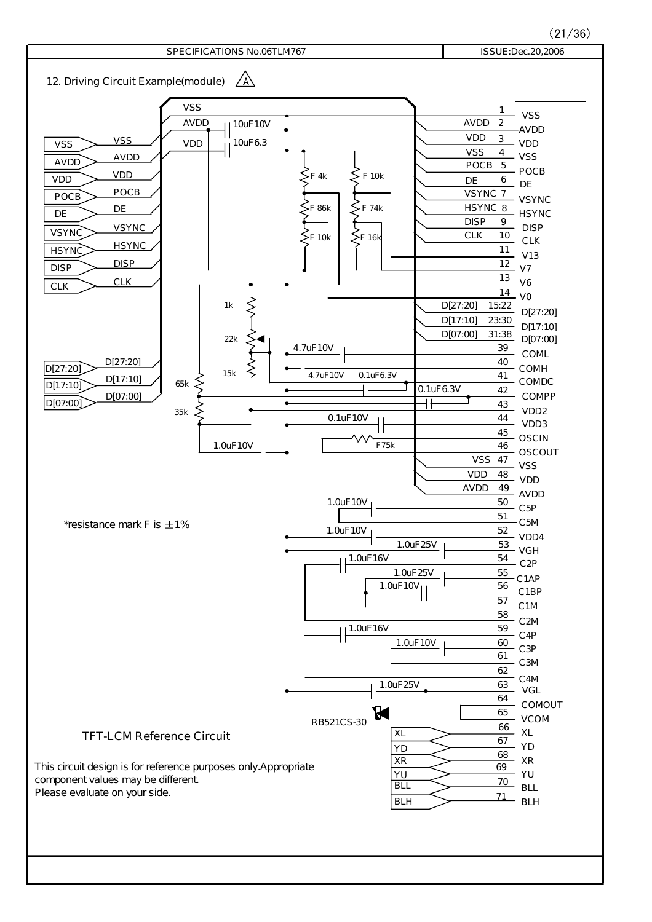$(21/36)$ 

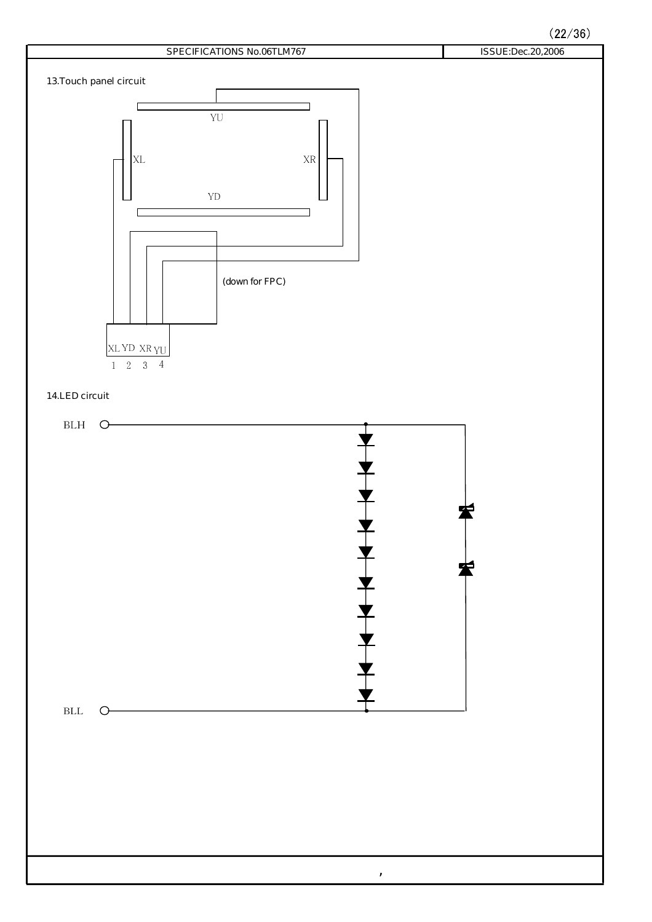$(22/36)$ 

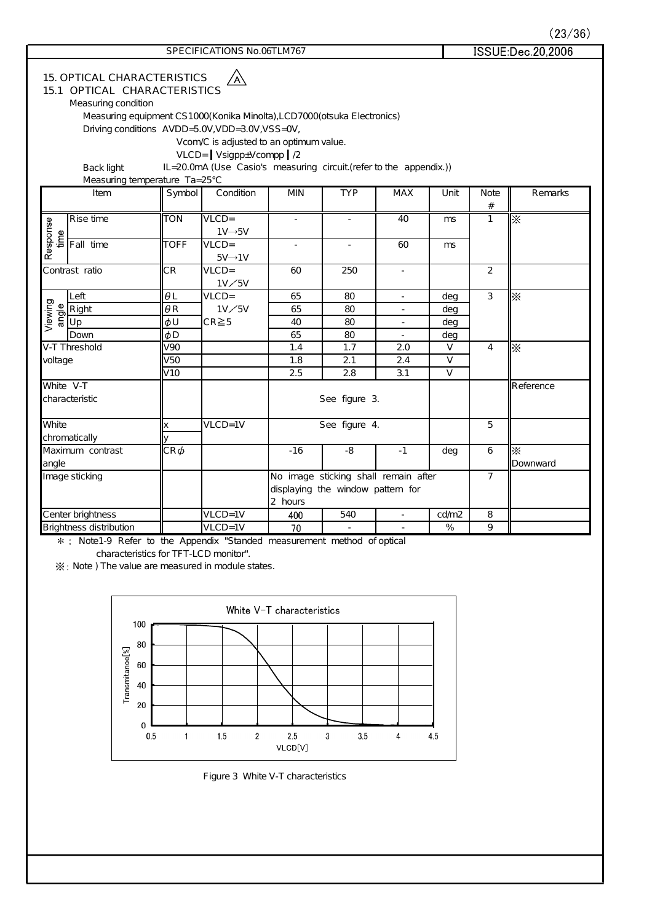|                  |                                                                                                                                                 |                 |                                                                                                                                                                                                                                                                           |                |                                                                           |                          |                |                     | (23/36)              |
|------------------|-------------------------------------------------------------------------------------------------------------------------------------------------|-----------------|---------------------------------------------------------------------------------------------------------------------------------------------------------------------------------------------------------------------------------------------------------------------------|----------------|---------------------------------------------------------------------------|--------------------------|----------------|---------------------|----------------------|
|                  |                                                                                                                                                 |                 | SPECIFICATIONS No.06TLM767                                                                                                                                                                                                                                                |                |                                                                           |                          |                |                     | ISSUE:Dec.20,2006    |
|                  | <b>15. OPTICAL CHARACTERISTICS</b><br><b>15.1 OPTICAL CHARACTERISTICS</b><br>Measuring condition<br>Back light<br>Measuring temperature Ta=25°C |                 | Measuring equipment CS1000(Konika Minolta), LCD7000(otsuka Electronics)<br>Driving conditions AVDD=5.0V, VDD=3.0V, VSS=0V,<br>Vcom/C is adjusted to an optimum value.<br>$VLCD = Vsignp+Vcomp   /2$<br>IL=20.0mA (Use Casio's measuring circuit (refer to the appendix.)) |                |                                                                           |                          |                |                     |                      |
|                  | Item                                                                                                                                            | Symbol          | Condition                                                                                                                                                                                                                                                                 | <b>MIN</b>     | <b>TYP</b>                                                                | <b>MAX</b>               | Unit           | <b>Note</b><br>$\#$ | Remarks              |
| Response<br>time | Rise time                                                                                                                                       | <b>TON</b>      | $VLCD =$<br>$1V \rightarrow 5V$                                                                                                                                                                                                                                           |                |                                                                           | 40                       | ms             | $\overline{1}$      | $\overline{\times}$  |
|                  | Fall time                                                                                                                                       | <b>TOFF</b>     | $VLCD =$<br>$5V \rightarrow 1V$                                                                                                                                                                                                                                           | $\overline{a}$ | $\overline{\phantom{a}}$                                                  | 60                       | m <sub>s</sub> |                     |                      |
|                  | Contrast ratio                                                                                                                                  | CR              | $VLCD =$<br>1V/5V                                                                                                                                                                                                                                                         | 60             | 250                                                                       | $\overline{a}$           |                | $\overline{2}$      |                      |
|                  | Left                                                                                                                                            | $\theta L$      | $VLCD =$                                                                                                                                                                                                                                                                  | 65             | 80                                                                        | $\overline{\phantom{a}}$ | deg            | 3                   | $\times$             |
| Viewing<br>angle | Right                                                                                                                                           | $\theta$ R      | $1V\diagup 5V$                                                                                                                                                                                                                                                            | 65             | 80                                                                        | $\overline{\phantom{a}}$ | deg            |                     |                      |
|                  | Up                                                                                                                                              | φU              | $CR \ge 5$                                                                                                                                                                                                                                                                | 40             | 80                                                                        | $\overline{\phantom{a}}$ | deg            |                     |                      |
|                  | Down                                                                                                                                            | $\phi$ D        |                                                                                                                                                                                                                                                                           | 65             | 80                                                                        | $\equiv$                 | deg            |                     |                      |
|                  | V-T Threshold                                                                                                                                   | V <sub>90</sub> |                                                                                                                                                                                                                                                                           | 1.4            | 1.7                                                                       | 2.0                      | $\vee$         | $\overline{4}$      | $\overline{\times}$  |
| voltage          |                                                                                                                                                 | V <sub>50</sub> |                                                                                                                                                                                                                                                                           | 1.8            | 2.1                                                                       | 2.4                      | $\vee$         |                     |                      |
|                  |                                                                                                                                                 | V <sub>10</sub> |                                                                                                                                                                                                                                                                           | 2.5            | 2.8                                                                       | 3.1                      | $\vee$         |                     |                      |
|                  | White V-T<br>characteristic                                                                                                                     |                 |                                                                                                                                                                                                                                                                           |                | See figure 3.                                                             |                          |                | <b>Reference</b>    |                      |
| White            |                                                                                                                                                 | X               | $VLCD = 1V$                                                                                                                                                                                                                                                               |                | See figure 4.                                                             |                          |                | 5                   |                      |
|                  | chromatically                                                                                                                                   | ٧               |                                                                                                                                                                                                                                                                           |                |                                                                           |                          |                |                     |                      |
| angle            | Maximum contrast                                                                                                                                | $CR\,\phi$      |                                                                                                                                                                                                                                                                           | $-16$          | -8                                                                        | $-1$                     | deg            | 6                   | $\times$<br>Downward |
|                  | Image sticking                                                                                                                                  |                 |                                                                                                                                                                                                                                                                           | 2 hours        | No image sticking shall remain after<br>displaying the window pattern for |                          |                | $\overline{7}$      |                      |

Brightness distribution VLCD=1V 70 - - % 9 Note1-9 Refer to the Appendix "Standed measurement method of optical

Center brightness VLCD=1V 400 540 - cd/m2 8

characteristics for TFT-LCD monitor".

 $X:$  Note ) The value are measured in module states.



Figure 3 White V-T characteristics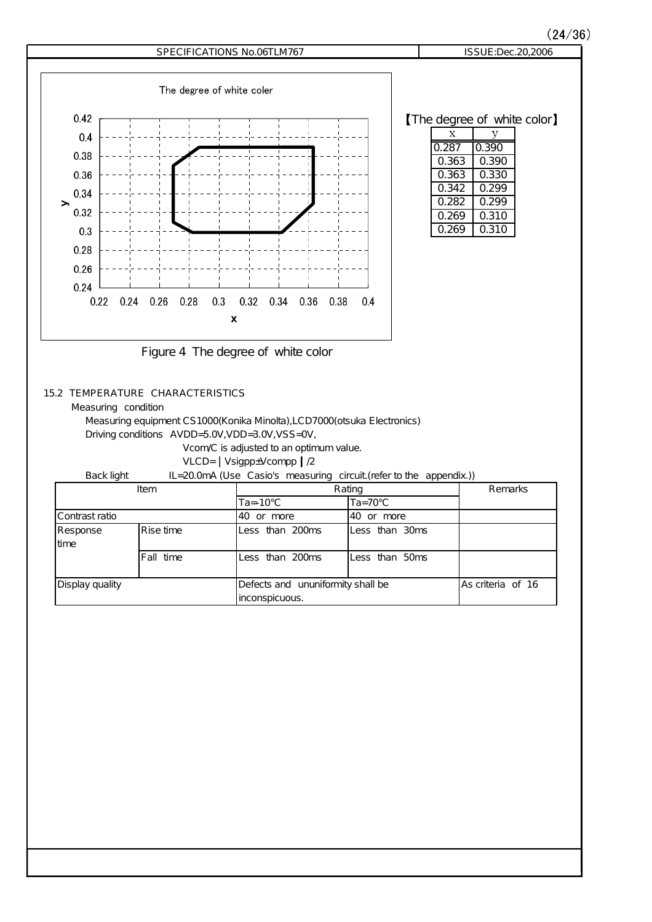

### **15.2 TEMPERATURE CHARACTERISTICS**

Measuring condition

Measuring equipment CS1000(Konika Minolta),LCD7000(otsuka Electronics)

Driving conditions  $AVDD = 5.0V, VDD = 3.0V, VSS = 0V,$ 

Vcom/C is adjusted to an optimum value.

VLCD= Vsigpp±Vcompp /2

Back light IL=20.0mA (Use Casio's measuring circuit (refer to the appendix.))

| Item            |            | Rating                            | Remarks            |                   |
|-----------------|------------|-----------------------------------|--------------------|-------------------|
|                 |            | $Ta = -10^{\circ}C$               | $Ta = 70^{\circ}C$ |                   |
| lContrast ratio |            | 40 or more                        | 40 or more         |                   |
| Response        | IRise time | Less than 200ms                   | lLess than 30ms    |                   |
| time            |            |                                   |                    |                   |
|                 | Fall time  | Less than 200ms                   | Less than 50ms     |                   |
|                 |            |                                   |                    |                   |
| Display quality |            | Defects and ununiformity shall be |                    | As criteria of 16 |
|                 |            | inconspicuous.                    |                    |                   |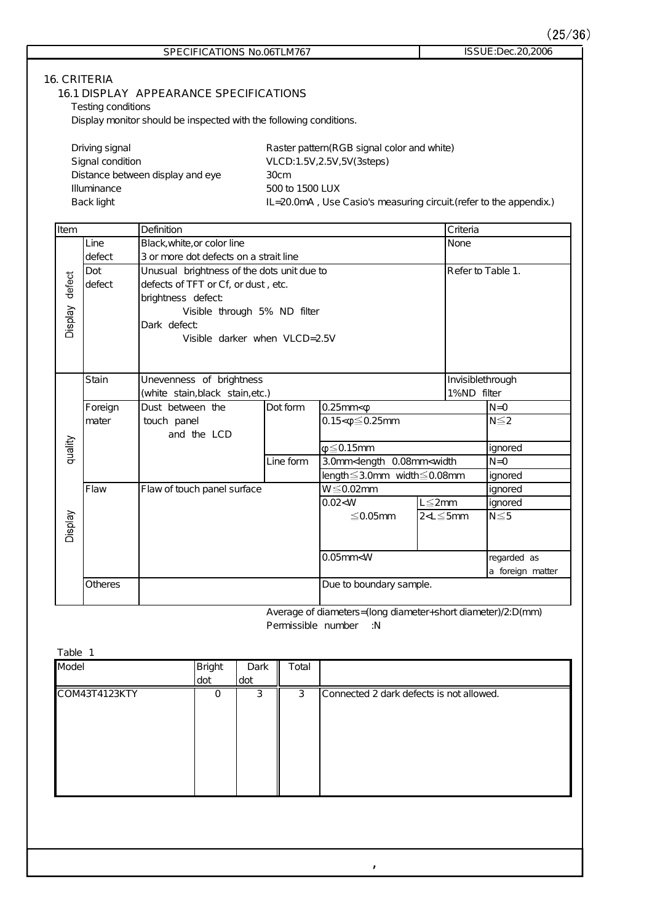$\binom{6}{ }$ 

|                                    |                                           |                                                                                                                                                  |                      |                | SPECIFICATIONS No.06TLM767                                    |                                                                                             |                                 |             | (25/3<br>ISSUE: Dec. 20, 2006 |
|------------------------------------|-------------------------------------------|--------------------------------------------------------------------------------------------------------------------------------------------------|----------------------|----------------|---------------------------------------------------------------|---------------------------------------------------------------------------------------------|---------------------------------|-------------|-------------------------------|
|                                    | <b>16. CRITERIA</b><br>Testing conditions | <b>16.1 DISPLAY APPEARANCE SPECIFICATIONS</b>                                                                                                    |                      |                |                                                               |                                                                                             |                                 |             |                               |
|                                    |                                           | Display monitor should be inspected with the following conditions.                                                                               |                      |                |                                                               |                                                                                             |                                 |             |                               |
|                                    | Driving signal<br>Signal condition        | Distance between display and eye                                                                                                                 |                      |                | 30cm                                                          | Raster pattern (RGB signal color and white)<br>VLCD:1.5V, 2.5V, 5V (3steps)                 |                                 |             |                               |
|                                    | Illuminance<br>Back light                 |                                                                                                                                                  |                      |                | 500 to 1500 LUX                                               |                                                                                             |                                 |             |                               |
|                                    |                                           |                                                                                                                                                  |                      |                |                                                               | IL=20.0mA, Use Casio's measuring circuit (refer to the appendix.)                           |                                 |             |                               |
| Item                               |                                           | Definition                                                                                                                                       |                      |                |                                                               |                                                                                             |                                 | Criteria    |                               |
|                                    | Line                                      | Black, white, or color line                                                                                                                      |                      |                |                                                               |                                                                                             |                                 | None        |                               |
| defect                             | defect<br>Dot<br>defect                   | 3 or more dot defects on a strait line<br>Unusual brightness of the dots unit due to<br>defects of TFT or Cf, or dust, etc.<br>brightness defect |                      |                |                                                               |                                                                                             |                                 |             | Refer to Table 1.             |
| VeldsiO                            |                                           | Dark defect                                                                                                                                      |                      |                | Visible through 5% ND filter<br>Visible darker when VLCD=2.5V |                                                                                             |                                 |             |                               |
|                                    | <b>Stain</b>                              | Unevenness of brightness                                                                                                                         |                      |                |                                                               |                                                                                             |                                 |             | Invisiblethrough              |
|                                    |                                           | (white stain, black stain, etc.)                                                                                                                 |                      |                |                                                               |                                                                                             |                                 | 1%ND filter |                               |
|                                    | Foreign                                   | Dust between the                                                                                                                                 |                      |                | Dot form                                                      | $0.25$ mm $<$ $\phi$                                                                        |                                 |             | $N = 0$                       |
|                                    | mater                                     | touch panel<br>and the LCD                                                                                                                       |                      |                |                                                               | $0.15<\!\!\phi\!\leq\!0.25$ mm                                                              |                                 |             | $N \leq 2$                    |
| quality                            |                                           |                                                                                                                                                  |                      |                |                                                               | $\varphi \leq 0.15$ mm                                                                      |                                 |             | ignored                       |
|                                    |                                           |                                                                                                                                                  |                      |                | Line form                                                     | 3.0mm <length 0.08mm<width<="" td=""><td></td><td></td><td><math>N = 0</math></td></length> |                                 |             | $N = 0$                       |
|                                    |                                           |                                                                                                                                                  |                      |                |                                                               | length≦3.0mm width≦0.08mm                                                                   |                                 |             | ignored                       |
|                                    | Flaw                                      | Flaw of touch panel surface                                                                                                                      |                      |                |                                                               | $W \leq 0.02$ mm                                                                            |                                 |             | ignored                       |
|                                    |                                           |                                                                                                                                                  |                      |                |                                                               | 0.02 < W                                                                                    | $L \leq 2mm$                    |             | ignored                       |
| $\widetilde{\varepsilon}$<br>Displ |                                           |                                                                                                                                                  |                      |                |                                                               | $≤$ 0.05mm                                                                                  | $2<\mathsf{L}\leq 5\mathsf{mm}$ |             | $N \leq 5$                    |
|                                    |                                           |                                                                                                                                                  |                      |                |                                                               | $0.05$ mm< $W$                                                                              |                                 |             | regarded as                   |
|                                    | Otheres                                   |                                                                                                                                                  |                      |                |                                                               | Due to boundary sample.                                                                     |                                 |             | a foreign matter              |
|                                    |                                           |                                                                                                                                                  |                      |                |                                                               |                                                                                             |                                 |             |                               |
|                                    |                                           |                                                                                                                                                  |                      |                | Permissible number                                            | Average of diameters=(long diameter+short diameter)/2:D(mm)<br>:N                           |                                 |             |                               |
| Table 1                            |                                           |                                                                                                                                                  |                      |                |                                                               |                                                                                             |                                 |             |                               |
| Model                              |                                           |                                                                                                                                                  | <b>Bright</b><br>dot | Dark<br>dot    | Total                                                         |                                                                                             |                                 |             |                               |
|                                    | COM43T4123KTY                             |                                                                                                                                                  | 0                    | $\overline{3}$ | $\overline{3}$                                                | Connected 2 dark defects is not allowed.                                                    |                                 |             |                               |
|                                    |                                           |                                                                                                                                                  |                      |                |                                                               |                                                                                             |                                 |             |                               |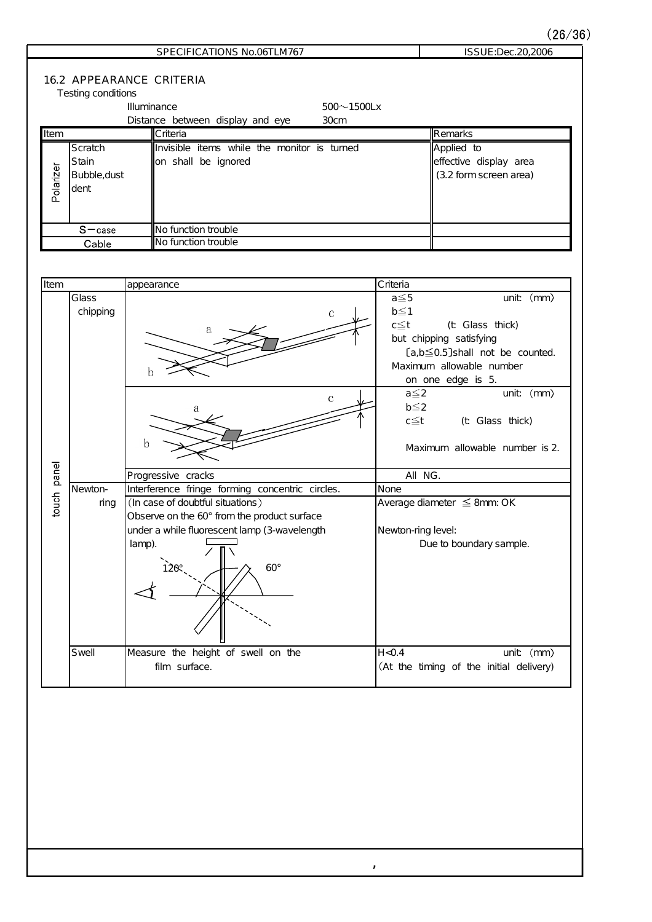### $(26/36)$

## SPECIFICATIONS No.06TLM767 ISSUE:Dec.20,2006

### **16.2 APPEARANCE CRITERIA**

| Testing conditions |  |
|--------------------|--|
|--------------------|--|

|           |              | Illuminance                                 | $500 - 1500$ Lx |                        |
|-----------|--------------|---------------------------------------------|-----------------|------------------------|
|           |              | Distance between display and eye            | 30cm            |                        |
| Item      |              | <b>I</b> Criteria                           |                 | Remarks                |
|           | Scratch      | Invisible items while the monitor is turned |                 | Applied to             |
|           | Stain        | lon shall be ignored                        |                 | effective display area |
| Polarizer | Bubble,dust  |                                             |                 | (3.2 form screen area) |
|           | dent         |                                             |                 |                        |
|           |              |                                             |                 |                        |
|           |              |                                             |                 |                        |
|           | $S$ $-$ case | INo function trouble                        |                 |                        |
|           | Cable        | INo function trouble                        |                 |                        |

| ltem        |          | appearance                                      | Criteria                                |
|-------------|----------|-------------------------------------------------|-----------------------------------------|
|             | Glass    |                                                 | $a \leq 5$<br>unit (mm)                 |
|             | chipping | $\mathbf C$                                     | $b \leq 1$                              |
|             |          | a                                               | $c \leq t$<br>(t Glass thick)           |
|             |          |                                                 | but chipping satisfying                 |
|             |          |                                                 | $[a,b \leq 0.5]$ shall not be counted.  |
|             |          |                                                 | Maximum allowable number                |
|             |          |                                                 | on one edge is 5.                       |
|             |          | $\mathbf C$                                     | unit (mm)<br>$a \leq 2$                 |
|             |          | a                                               | $b \leq 2$                              |
|             |          |                                                 | c≦t<br>(t Glass thick)                  |
|             |          | h                                               |                                         |
|             |          |                                                 | Maximum allowable number is 2.          |
|             |          |                                                 |                                         |
| touch panel |          | Progressive cracks                              | All NG.                                 |
|             | Newton-  | Interference fringe forming concentric circles. | None                                    |
|             | ring     | (In case of doubtful situations)                | Average diameter ≤ 8mm: OK              |
|             |          | Observe on the 60° from the product surface     |                                         |
|             |          | under a while fluorescent lamp (3-wavelength    | Newton-ring level:                      |
|             |          | lamp).                                          | Due to boundary sample.                 |
|             |          |                                                 |                                         |
|             |          | $60^\circ$                                      |                                         |
|             |          |                                                 |                                         |
|             |          |                                                 |                                         |
|             |          |                                                 |                                         |
|             |          |                                                 |                                         |
|             | Swell    | Measure the height of swell on the              | H < 0.4<br>unit $(mm)$                  |
|             |          | film surface.                                   | (At the timing of the initial delivery) |
|             |          |                                                 |                                         |

 $\mathcal{L}^{\pm}$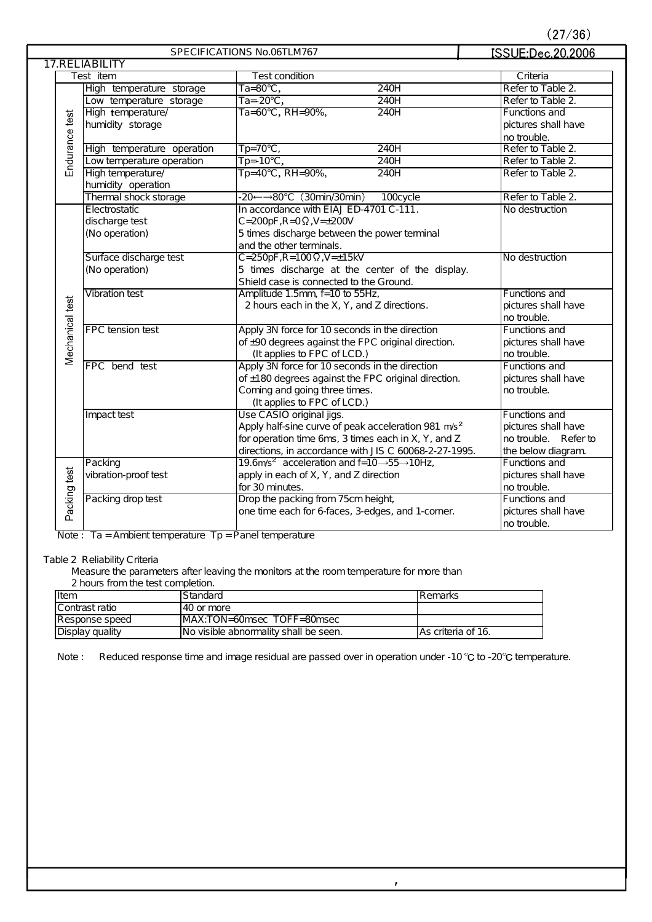|  |  | 27/36) |  |
|--|--|--------|--|
|  |  |        |  |

|                 |                            | SPECIFICATIONS No.06TLM767                                                      | ISSUE:Dec.20,2006    |
|-----------------|----------------------------|---------------------------------------------------------------------------------|----------------------|
|                 | <b>17.RELIABILITY</b>      |                                                                                 |                      |
|                 | Test item                  | <b>Test condition</b>                                                           | Criteria             |
|                 | High temperature storage   | $Ta=80^\circ\text{C}$ ,<br>240H                                                 | Refer to Table 2.    |
|                 | Low temperature storage    | $\overline{1a} = -20^{\circ}C$ ,<br>240H                                        | Refer to Table 2.    |
|                 | High temperature/          | Ta=60°C, RH=90%,<br>240H                                                        | Functions and        |
|                 | humidity storage           |                                                                                 | pictures shall have  |
|                 |                            |                                                                                 | no trouble.          |
| Endurance test  | High temperature operation | $Tp=70^{\circ}C$<br>240H                                                        | Refer to Table 2.    |
|                 | Low temperature operation  | $\overline{Tp} = -10^{\circ}C$ ,<br><b>240H</b>                                 | Refer to Table 2.    |
|                 | High temperature/          | $Tp=40^{\circ}C$ , RH=90%,<br>240H                                              | Refer to Table 2.    |
|                 | humidity operation         |                                                                                 |                      |
|                 | Thermal shock storage      | -20←→80°C (30min/30min)<br>100cycle                                             | Refer to Table 2.    |
|                 | Electrostatic              | In accordance with EIAJ ED-4701 C-111.                                          | No destruction       |
|                 | discharge test             | $C = 200pF$ , $R = 0$ $\Omega$ , $V = \pm 200V$                                 |                      |
|                 | (No operation)             | 5 times discharge between the power terminal                                    |                      |
|                 |                            | and the other terminals.                                                        |                      |
|                 | Surface discharge test     | $C = 250pF$ , $R = 100 \Omega$ , $V = \pm 15kV$                                 | No destruction       |
|                 | (No operation)             | 5 times discharge at the center of the display.                                 |                      |
|                 |                            | Shield case is connected to the Ground.                                         |                      |
|                 | Vibration test             | Amplitude 1.5mm, f=10 to 55Hz,                                                  | Functions and        |
|                 |                            | 2 hours each in the X, Y, and Z directions.                                     | pictures shall have  |
|                 |                            |                                                                                 | no trouble.          |
| Mechanical test | FPC tension test           | Apply 3N force for 10 seconds in the direction                                  | Functions and        |
|                 |                            | of ±90 degrees against the FPC original direction.                              | pictures shall have  |
|                 |                            | (It applies to FPC of LCD.)                                                     | no trouble.          |
|                 | FPC bend test              | Apply 3N force for 10 seconds in the direction                                  | Functions and        |
|                 |                            | of ±180 degrees against the FPC original direction.                             | pictures shall have  |
|                 |                            | Coming and going three times.                                                   | no trouble.          |
|                 |                            | (It applies to FPC of LCD.)                                                     |                      |
|                 | Impact test                | Use CASIO original jigs.                                                        | Functions and        |
|                 |                            | Apply half-sine curve of peak acceleration 981 m/s <sup>2</sup>                 | pictures shall have  |
|                 |                            | for operation time 6ms, 3 times each in X, Y, and Z                             | no trouble. Refer to |
|                 |                            | directions, in accordance with JIS C 60068-2-27-1995.                           | the below diagram.   |
|                 | Packing                    | 19.6m/s <sup>2</sup> acceleration and $f=10 \rightarrow 55 \rightarrow 10 Hz$ , | Functions and        |
|                 | vibration-proof test       | apply in each of X, Y, and Z direction                                          | pictures shall have  |
| Packing test    |                            | for 30 minutes.                                                                 | no trouble.          |
|                 | Packing drop test          | Drop the packing from 75cm height,                                              | Functions and        |
|                 |                            | one time each for 6-faces, 3-edges, and 1-corner.                               | pictures shall have  |
|                 |                            |                                                                                 |                      |
|                 |                            |                                                                                 | no trouble.          |

Note : Ta = Ambient temperature  $Tp =$  Panel temperature

### Table 2 Reliability Criteria

Measure the parameters after leaving the monitors at the room temperature for more than

2 hours from the test completion.

| <b>I</b> tem    | Standard                               | <b>IRemarks</b>     |
|-----------------|----------------------------------------|---------------------|
| IContrast ratio | 40 or more                             |                     |
| Response speed  | $IMAX:TON=60msec TOFF=80msec$          |                     |
| Display quality | INo visible abnormality shall be seen. | IAs criteria of 16. |

Note : Reduced response time and image residual are passed over in operation under -10 °C to -20°C temperature.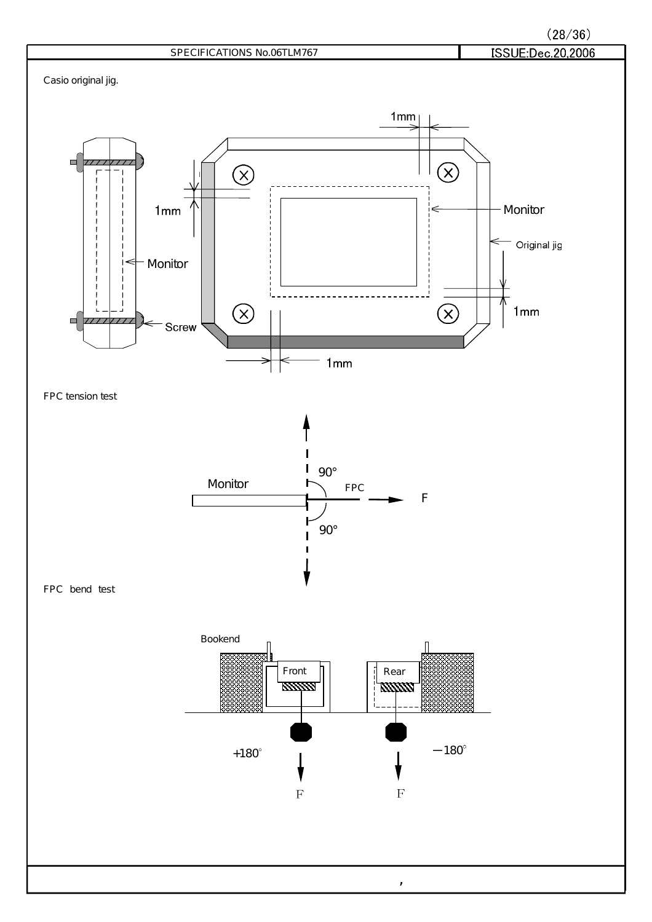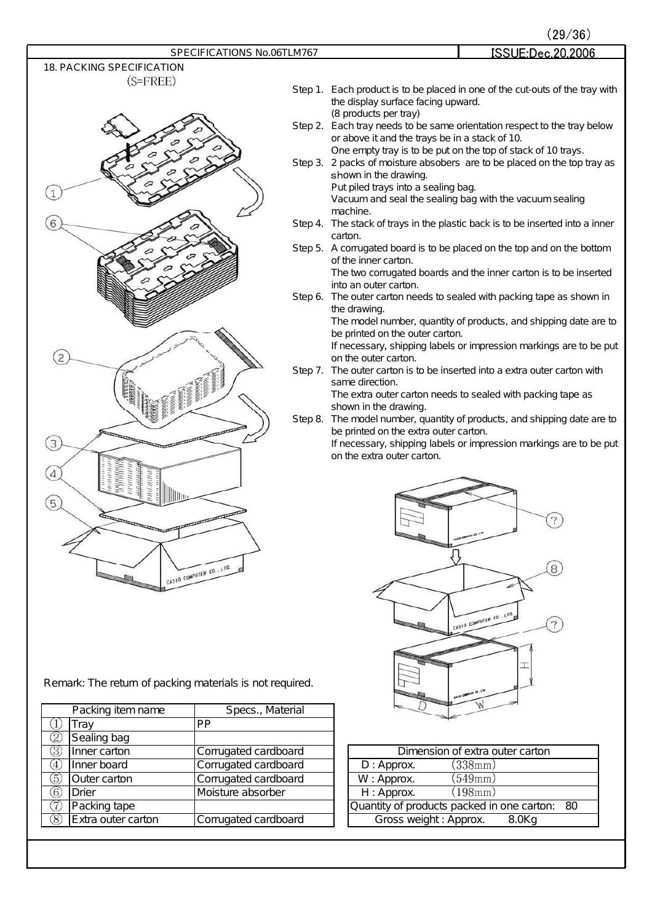

|                                  |         | (29/36)                                                                                                                    |
|----------------------------------|---------|----------------------------------------------------------------------------------------------------------------------------|
| SPECIFICATIONS No.06TLM767       |         | ISSUE:Dec.20.2006                                                                                                          |
| <b>18. PACKING SPECIFICATION</b> |         |                                                                                                                            |
| $(S=FREE)$                       |         |                                                                                                                            |
|                                  |         | Step 1. Each product is to be placed in one of the cut-outs of the tray with                                               |
|                                  |         | the display surface facing upward.                                                                                         |
|                                  |         | (8 products per tray)                                                                                                      |
|                                  |         | Step 2. Each tray needs to be same orientation respect to the tray below<br>or above it and the trays be in a stack of 10. |
|                                  |         | One empty tray is to be put on the top of stack of 10 trays.                                                               |
|                                  |         | Step 3. 2 packs of moisture absobers are to be placed on the top tray as                                                   |
|                                  |         | shown in the drawing.                                                                                                      |
|                                  |         | Put piled trays into a sealing bag.                                                                                        |
|                                  |         | Vacuum and seal the sealing bag with the vacuum sealing                                                                    |
|                                  |         | machine.                                                                                                                   |
|                                  |         | Step 4. The stack of trays in the plastic back is to be inserted into a inner                                              |
|                                  |         | carton.                                                                                                                    |
|                                  |         | Step 5. A corrugated board is to be placed on the top and on the bottom<br>of the inner carton.                            |
|                                  |         | The two corrugated boards and the inner carton is to be inserted                                                           |
|                                  |         | into an outer carton.                                                                                                      |
|                                  | Step 6. | The outer carton needs to sealed with packing tape as shown in                                                             |
|                                  |         | the drawing.                                                                                                               |
|                                  |         | The model number, quantity of products, and shipping date are to                                                           |
|                                  |         | be printed on the outer carton.                                                                                            |
| 2                                |         | If necessary, shipping labels or impression markings are to be put<br>on the outer carton.                                 |
|                                  |         | Step 7. The outer carton is to be inserted into a extra outer carton with<br>same direction.                               |
|                                  |         | The extra outer carton needs to sealed with packing tape as                                                                |
|                                  |         | shown in the drawing.                                                                                                      |
|                                  | Step 8. | The model number, quantity of products, and shipping date are to<br>be printed on the extra outer carton.                  |
| 3                                |         | If necessary, shipping labels or impression markings are to be put                                                         |
|                                  |         | on the extra outer carton.                                                                                                 |
| 4                                |         |                                                                                                                            |
|                                  |         |                                                                                                                            |
| 5                                |         |                                                                                                                            |
|                                  |         |                                                                                                                            |
| <b>Report Follows</b>            |         | 7                                                                                                                          |
|                                  |         |                                                                                                                            |
|                                  |         |                                                                                                                            |
| CASIO COMPUTER CO., LTD.         |         | 8                                                                                                                          |
|                                  |         |                                                                                                                            |
|                                  |         |                                                                                                                            |
|                                  |         |                                                                                                                            |
|                                  |         | CASIO COMPUTER CO., LTD.                                                                                                   |
|                                  |         |                                                                                                                            |

Remark: The return of packing materials is not required.

|                           |                      | <b>SALE Travel</b>                         |
|---------------------------|----------------------|--------------------------------------------|
| Packing item name         | Specs., Material     |                                            |
| Tray                      | <b>PP</b>            |                                            |
| Q<br>Sealing bag          |                      |                                            |
| 3<br>Inner carton         | Corrugated cardboard | Dimension of extra outer carton            |
| Inner board<br>(4)        | Corrugated cardboard | (338mm)<br>$D:$ Approx.                    |
| 5)<br>Outer carton        | Corrugated cardboard | (549mm)<br>W: Approx.                      |
| 6<br>Drier                | Moisture absorber    | H: Approx.<br>(198mm)                      |
| (7)<br>Packing tape       |                      | Quantity of products packed in one carton: |
| Extra outer carton<br>(8) | Corrugated cardboard | Gross weight: Approx.<br>$8.0$ Kg          |
|                           |                      |                                            |

|                       | Dimension of extra outer carton               |  |
|-----------------------|-----------------------------------------------|--|
| $D:$ Approx.          | (338mm)                                       |  |
| W: Approx.            | (549mm)                                       |  |
| $H:$ Approx.          | (198mm)                                       |  |
|                       | Quantity of products packed in one carton: 80 |  |
| Gross weight: Approx. | 8.0Kg                                         |  |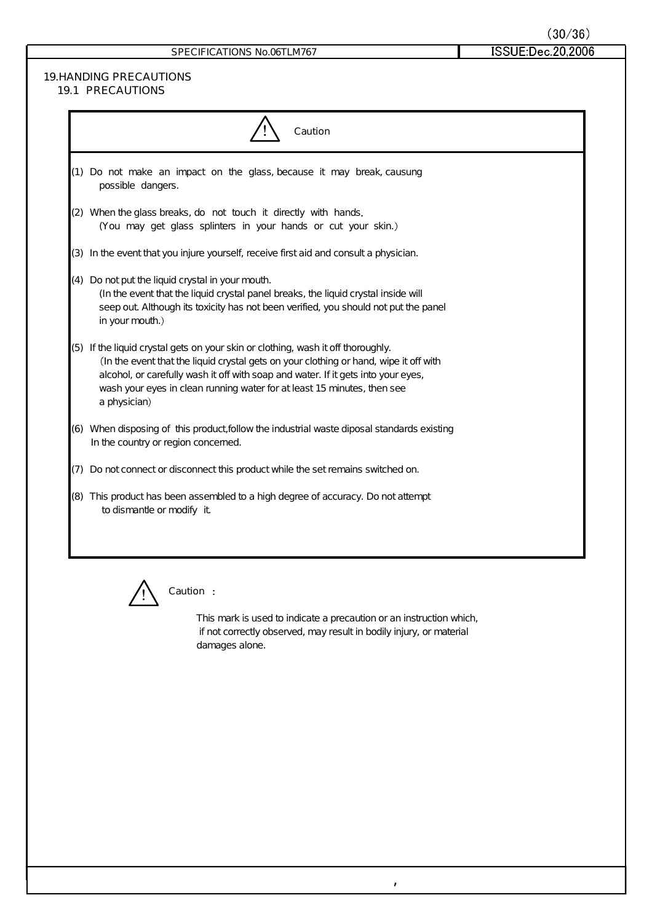## **19.HANDING PRECAUTIONS**

| <b>19.1 PRECAUTIONS</b> |  |
|-------------------------|--|
|                         |  |

| <b>Caution</b>                                                                                                                                                                                                                                                                                                                                            |
|-----------------------------------------------------------------------------------------------------------------------------------------------------------------------------------------------------------------------------------------------------------------------------------------------------------------------------------------------------------|
| (1) Do not make an impact on the glass, because it may break, causung<br>possible dangers.                                                                                                                                                                                                                                                                |
| (2) When the glass breaks, do not touch it directly with hands.<br>(You may get glass splinters in your hands or cut your skin.)                                                                                                                                                                                                                          |
| (3) In the event that you injure yourself, receive first aid and consult a physician.                                                                                                                                                                                                                                                                     |
| (4) Do not put the liquid crystal in your mouth.<br>(In the event that the liquid crystal panel breaks, the liquid crystal inside will<br>seep out Although its toxicity has not been verified, you should not put the panel<br>in your mouth.)                                                                                                           |
| (5) If the liquid crystal gets on your skin or clothing, wash it off thoroughly.<br>(In the event that the liquid crystal gets on your clothing or hand, wipe it off with<br>alcohol, or carefully wash it off with soap and water. If it gets into your eyes,<br>wash your eyes in clean running water for at least 15 minutes, then see<br>a physician) |
| (6) When disposing of this product follow the industrial waste diposal standards existing<br>In the country or region concerned.                                                                                                                                                                                                                          |
| (7) Do not connect or disconnect this product while the set remains switched on.                                                                                                                                                                                                                                                                          |
| (8) This product has been assembled to a high degree of accuracy. Do not attempt<br>to dismantle or modify it                                                                                                                                                                                                                                             |
|                                                                                                                                                                                                                                                                                                                                                           |



### **Caution**

This mark is used to indicate a precaution or an instruction which, if not correctly observed, may result in bodily injury, or material damages alone.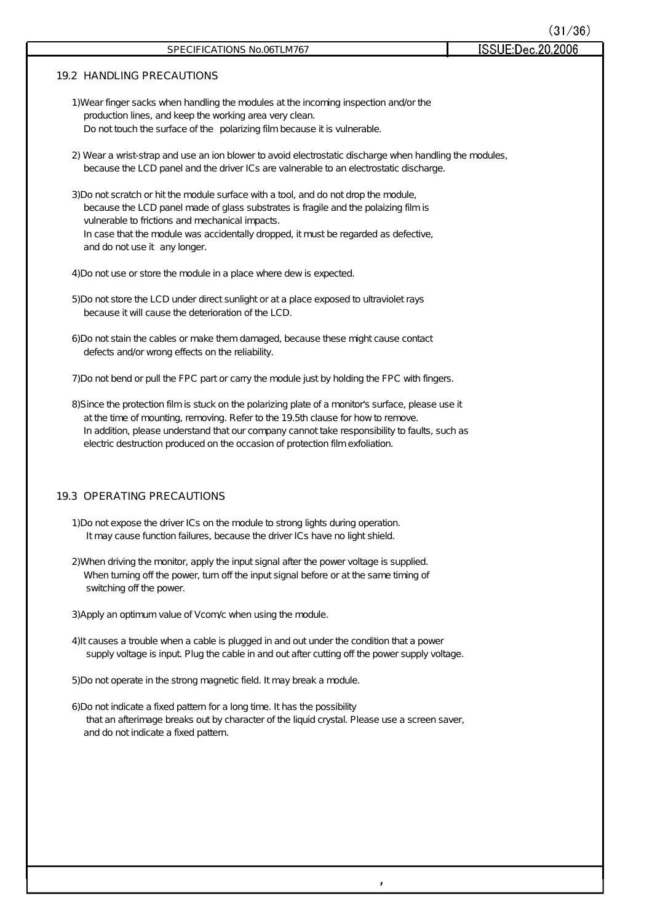| SPECIFICATIONS No.06TLM767                                                                                                                                                                                                                                                                                                                                                | ISSUE:Dec.20,2006 |
|---------------------------------------------------------------------------------------------------------------------------------------------------------------------------------------------------------------------------------------------------------------------------------------------------------------------------------------------------------------------------|-------------------|
| <b>19.2 HANDLING PRECAUTIONS</b>                                                                                                                                                                                                                                                                                                                                          |                   |
| 1) Wear finger sacks when handling the modules at the incoming inspection and/or the<br>production lines, and keep the working area very clean.<br>Do not touch the surface of the polarizing film because it is vulnerable.                                                                                                                                              |                   |
| 2) Wear a wrist-strap and use an ion blower to avoid electrostatic discharge when handling the modules,<br>because the LCD panel and the driver ICs are valnerable to an electrostatic discharge.                                                                                                                                                                         |                   |
| 3) Do not scratch or hit the module surface with a tool, and do not drop the module,<br>because the LCD panel made of glass substrates is fragile and the polaizing film is<br>vulnerable to frictions and mechanical impacts.<br>In case that the module was accidentally dropped, it must be regarded as defective,<br>and do not use it any longer.                    |                   |
| 4) Do not use or store the module in a place where dew is expected.                                                                                                                                                                                                                                                                                                       |                   |
| 5)Do not store the LCD under direct sunlight or at a place exposed to ultraviolet rays<br>because it will cause the deterioration of the LCD.                                                                                                                                                                                                                             |                   |
| 6) Do not stain the cables or make them damaged, because these might cause contact<br>defects and/or wrong effects on the reliability.                                                                                                                                                                                                                                    |                   |
| 7) Do not bend or pull the FPC part or carry the module just by holding the FPC with fingers.                                                                                                                                                                                                                                                                             |                   |
| 8) Since the protection film is stuck on the polarizing plate of a monitor's surface, please use it<br>at the time of mounting, removing. Refer to the 19.5th clause for how to remove.<br>In addition, please understand that our company cannot take responsibility to faults, such as<br>electric destruction produced on the occasion of protection film exfoliation. |                   |
| <b>19.3 OPERATING PRECAUTIONS</b>                                                                                                                                                                                                                                                                                                                                         |                   |
| 1) Do not expose the driver ICs on the module to strong lights during operation.<br>It may cause function failures, because the driver ICs have no light shield.                                                                                                                                                                                                          |                   |
| 2) When driving the monitor, apply the input signal after the power voltage is supplied.<br>When turning off the power, turn off the input signal before or at the same timing of<br>switching off the power.                                                                                                                                                             |                   |
| 3) Apply an optimum value of Vcom/c when using the module.                                                                                                                                                                                                                                                                                                                |                   |
| 4) It causes a trouble when a cable is plugged in and out under the condition that a power<br>supply voltage is input Plug the cable in and out after cutting off the power supply voltage.                                                                                                                                                                               |                   |
| 5)Do not operate in the strong magnetic field. It may break a module.                                                                                                                                                                                                                                                                                                     |                   |
| 6) Do not indicate a fixed pattern for a long time. It has the possibility<br>that an afterimage breaks out by character of the liquid crystal. Please use a screen saver,<br>and do not indicate a fixed pattern.                                                                                                                                                        |                   |
|                                                                                                                                                                                                                                                                                                                                                                           |                   |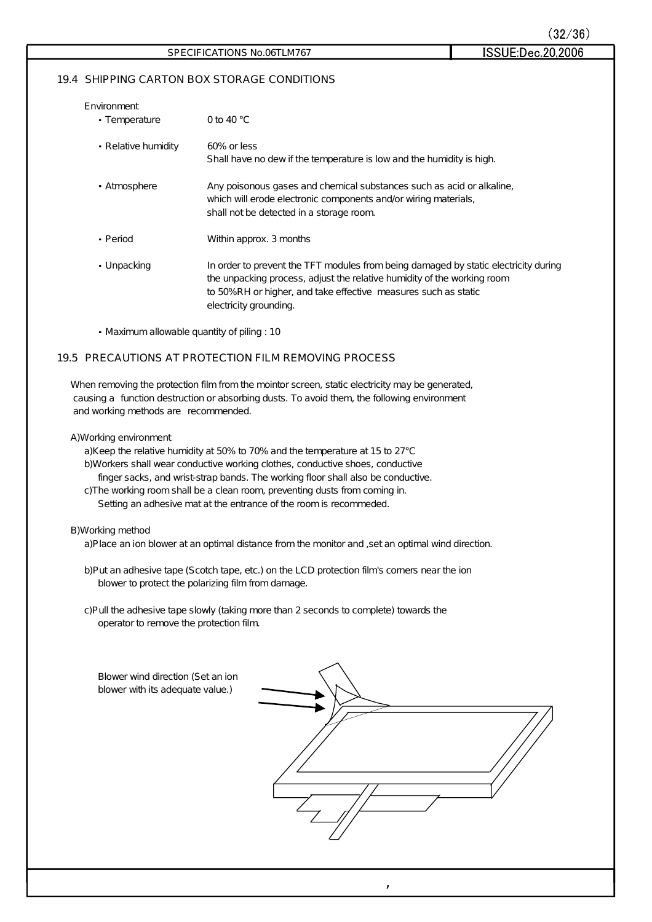$(32/36)$ 

ISSUE:Dec.20,2006

### **19.4 SHIPPING CARTON BOX STORAGE CONDITIONS**

| Environment<br>• Temperature | 0 to 40 $^{\circ}$ C                                                                                                                                                                                                                                        |
|------------------------------|-------------------------------------------------------------------------------------------------------------------------------------------------------------------------------------------------------------------------------------------------------------|
| • Relative humidity          | 60% or less<br>Shall have no dew if the temperature is low and the humidity is high.                                                                                                                                                                        |
| • Atmosphere                 | Any poisonous gases and chemical substances such as acid or alkaline,<br>which will erode electronic components and/or wiring materials,<br>shall not be detected in a storage room.                                                                        |
| • Period                     | Within approx. 3 months                                                                                                                                                                                                                                     |
| • Unpacking                  | In order to prevent the TFT modules from being damaged by static electricity during<br>the unpacking process, adjust the relative humidity of the working room<br>to 50% RH or higher, and take effective measures such as static<br>electricity grounding. |

Maximum allowable quantity of piling : 10

### **19.5 PRECAUTIONS AT PROTECTION FILM REMOVING PROCESS**

When removing the protection film from the mointor screen, static electricity may be generated, causing a function destruction or absorbing dusts. To avoid them, the following environment and working methods are recommended.

#### A)W orking environment

a)Keep the relative humidity at 50% to 70% and the temperature at 15 to 27°C b)Workers shall wear conductive working clothes, conductive shoes, conductive finger sacks, and wrist-strap bands. The working floor shall also be conductive. c)The working room shall be a clean room, preventing dusts from coming in.

Setting an adhesive mat at the entrance of the room is recommeded.

#### B)W orking method

a)Place an ion blower at an optimal distance from the monitor and , set an optimal wind direction.

b)Put an adhesive tape (Scotch tape, etc.) on the LCD protection film's corners near the ion blower to protect the polarizing film from damage.

c)Pull the adhesive tape slowly (taking more than 2 seconds to complete) towards the operator to remove the protection film.

| Blower wind direction (Set an ion<br>blower with its adequate value.) |  |
|-----------------------------------------------------------------------|--|
|                                                                       |  |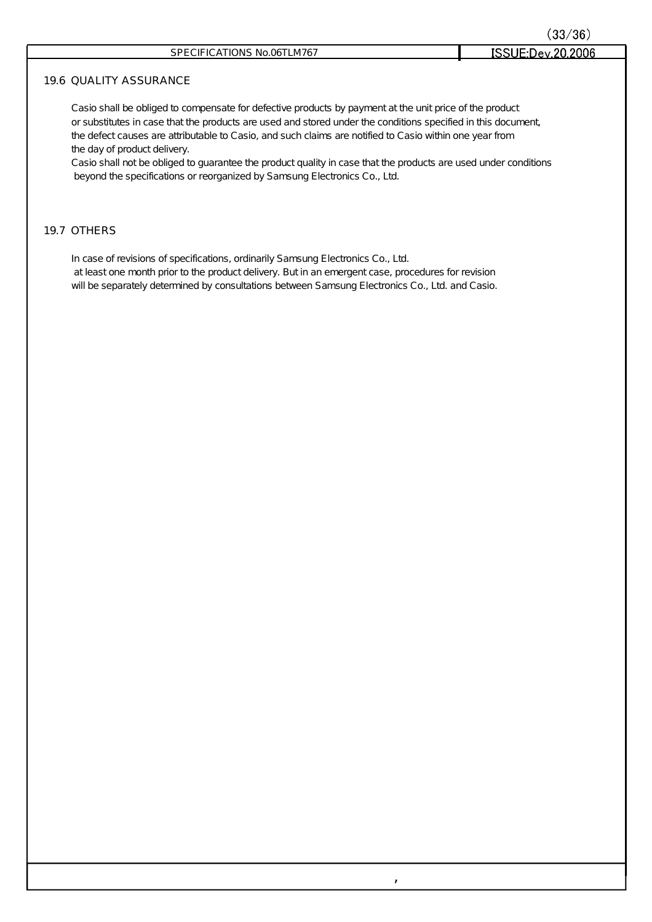### **19.6 QUALITY ASSURANCE**

Casio shall be obliged to compensate for defective products by payment at the unit price of the product or substitutes in case that the products are used and stored under the conditions specified in this document, the defect causes are attributable to Casio, and such claims are notified to Casio within one year from the day of product delivery.

Casio shall not be obliged to guarantee the product quality in case that the products are used under conditions beyond the specifications or reorganized by Samsung Electronics Co., Ltd.

,

### **19.7 OTHERS**

In case of revisions of specifications, ordinarily Samsung Electronics Co., Ltd.

at least one month prior to the product delivery. But in an emergent case, procedures for revision will be separately determined by consultations between Samsung Electronics Co., Ltd. and Casio.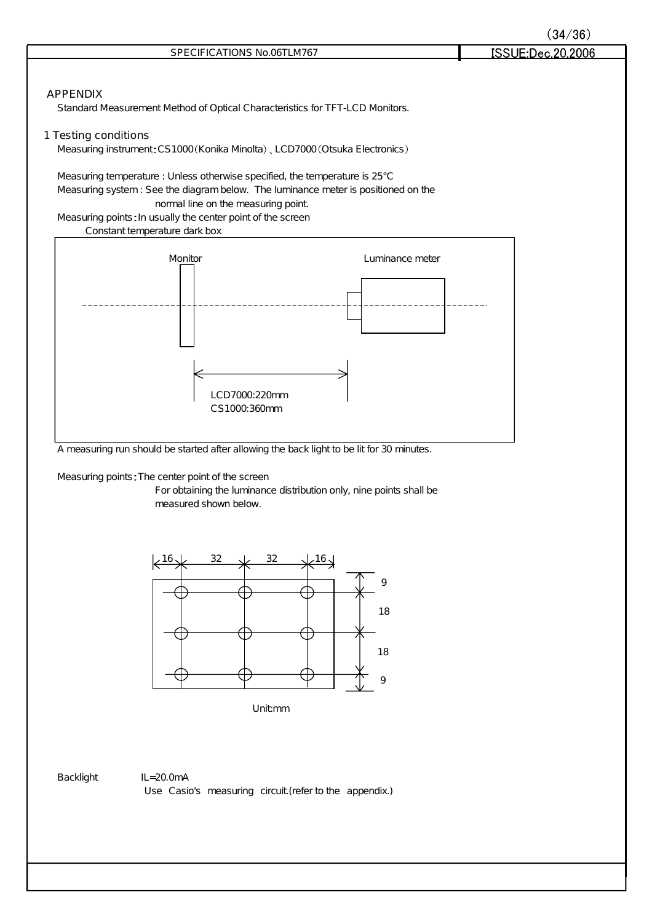|                                                                                                                                                                                                                                                                                                          | (34/36)           |
|----------------------------------------------------------------------------------------------------------------------------------------------------------------------------------------------------------------------------------------------------------------------------------------------------------|-------------------|
| SPECIFICATIONS No.06TLM767                                                                                                                                                                                                                                                                               | ISSUE:Dec.20,2006 |
| <b>APPENDIX</b><br>Standard Measurement Method of Optical Characteristics for TFT-LCD Monitors.<br><b>1 Testing conditions</b>                                                                                                                                                                           |                   |
| Measuring instrument: CS1000(Konika Minolta), LCD7000(Otsuka Electronics)                                                                                                                                                                                                                                |                   |
| Measuring temperature : Unless otherwise specified, the temperature is 25°C<br>Measuring system : See the diagram below. The luminance meter is positioned on the<br>normal line on the measuring point.<br>Measuring points: In usually the center point of the screen<br>Constant temperature dark box |                   |
| Monitor<br>Luminance meter<br>LCD7000:220mm<br>CS1000.360mm                                                                                                                                                                                                                                              |                   |
| A measuring run should be started after allowing the back light to be lit for 30 minutes.<br>Measuring points: The center point of the screen<br>For obtaining the luminance distribution only, nine points shall be<br>measured shown below.                                                            |                   |



Unitmm

Backlight IL=20.0mA Use Casio's measuring circuit (refer to the appendix.)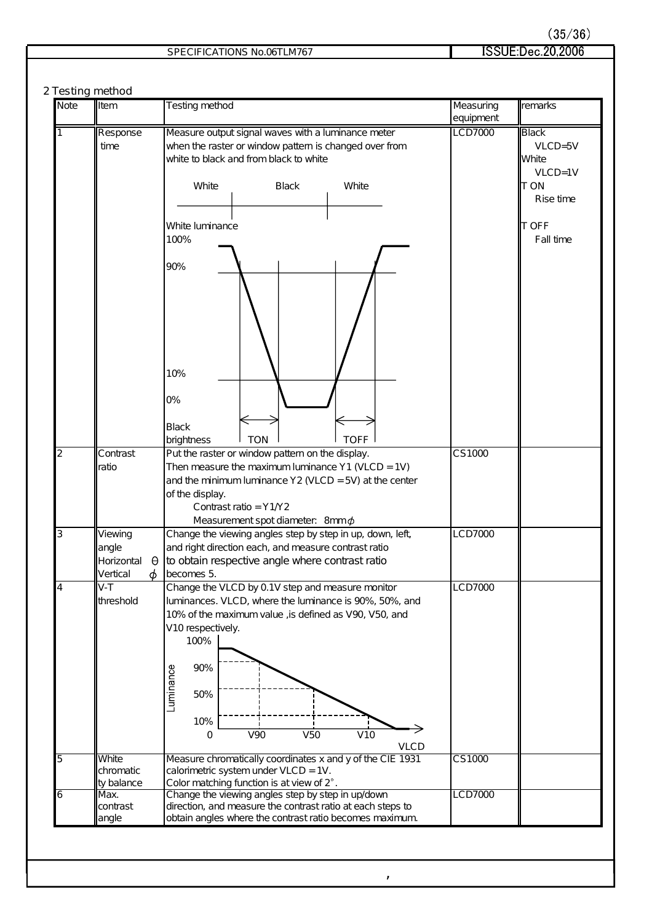| SPECIFICATIONS No.06TLM767 | ISSUE:Dec.20,2006 |
|----------------------------|-------------------|
|                            |                   |

#### **2 Testing method**

| <b>Note</b>    | Item                                                        | Testing method                                                                                                                                                                                                                                                                     | Measuring<br>equipment | remarks                                |
|----------------|-------------------------------------------------------------|------------------------------------------------------------------------------------------------------------------------------------------------------------------------------------------------------------------------------------------------------------------------------------|------------------------|----------------------------------------|
| 1              | Response<br>time                                            | Measure output signal waves with a luminance meter<br>when the raster or window pattern is changed over from<br>white to black and from black to white                                                                                                                             | LCD7000                | Black<br>$VLCD = 5V$<br><b>White</b>   |
|                |                                                             | White<br><b>Black</b><br>White                                                                                                                                                                                                                                                     |                        | $VLCD = 1V$<br><b>TON</b><br>Rise time |
|                |                                                             | White luminance<br>100%                                                                                                                                                                                                                                                            |                        | ∥T OFF<br>Fall time                    |
|                |                                                             | 90%<br>10%<br>0%                                                                                                                                                                                                                                                                   |                        |                                        |
| $\overline{2}$ | Contrast                                                    | <b>Black</b><br><b>TON</b><br><b>TOFF</b><br>brightness<br>Put the raster or window pattern on the display.                                                                                                                                                                        | CS1000                 |                                        |
|                | ratio                                                       | Then measure the maximum luminance $Y1$ (VLCD = 1V)<br>and the minimum luminance $Y2$ (VLCD = 5V) at the center<br>of the display.<br>Contrast ratio = $Y1/2$<br>Measurement spot diameter: 8mm $\phi$                                                                             |                        |                                        |
| $\overline{3}$ | Viewing<br>angle<br>Horizontal<br>$\Theta$<br>Vertical<br>φ | Change the viewing angles step by step in up, down, left,<br>and right direction each, and measure contrast ratio<br>to obtain respective angle where contrast ratio<br>becomes 5.                                                                                                 | <b>LCD7000</b>         |                                        |
| 4              | $V-T$<br>threshold                                          | Change the VLCD by 0.1V step and measure monitor<br>luminances. VLCD, where the luminance is 90%, 50%, and<br>10% of the maximum value, is defined as V90, V50, and<br>V10 respectively.<br>100%<br>90%<br>Luminance<br>50%<br>10%<br>V50<br>V10<br><b>V90</b><br>0<br><b>VLCD</b> | LCD7000                |                                        |
| 5              | White<br>chromatic<br>ty balance                            | Measure chromatically coordinates x and y of the CIE 1931<br>calorimetric system under VLCD = 1V.<br>Color matching function is at view of 2°.                                                                                                                                     | CS1000                 |                                        |
| 6              | Max.<br>contrast<br>angle                                   | Change the viewing angles step by step in up/down<br>direction, and measure the contrast ratio at each steps to<br>obtain angles where the contrast ratio becomes maximum.                                                                                                         | LCD7000                |                                        |